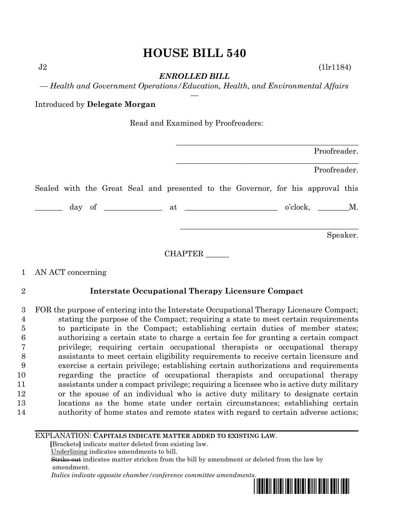# **HOUSE BILL 540**

 $J2$  (1 $\ln 1184$ )

*ENROLLED BILL*

*— Health and Government Operations/Education, Health, and Environmental Affairs —*

Introduced by **Delegate Morgan**

Read and Examined by Proofreaders:

|  |  |  |         |  |                                                                                 |  | Proofreader.     |          |
|--|--|--|---------|--|---------------------------------------------------------------------------------|--|------------------|----------|
|  |  |  |         |  |                                                                                 |  | Proofreader.     |          |
|  |  |  |         |  | Sealed with the Great Seal and presented to the Governor, for his approval this |  |                  |          |
|  |  |  |         |  |                                                                                 |  | $o'clock, \t M.$ |          |
|  |  |  |         |  |                                                                                 |  |                  | Speaker. |
|  |  |  | CHAPTER |  |                                                                                 |  |                  |          |

## 1 AN ACT concerning

## 2 **Interstate Occupational Therapy Licensure Compact**

 FOR the purpose of entering into the Interstate Occupational Therapy Licensure Compact; stating the purpose of the Compact; requiring a state to meet certain requirements to participate in the Compact; establishing certain duties of member states; authorizing a certain state to charge a certain fee for granting a certain compact privilege; requiring certain occupational therapists or occupational therapy assistants to meet certain eligibility requirements to receive certain licensure and exercise a certain privilege; establishing certain authorizations and requirements regarding the practice of occupational therapists and occupational therapy assistants under a compact privilege; requiring a licensee who is active duty military or the spouse of an individual who is active duty military to designate certain locations as the home state under certain circumstances; establishing certain authority of home states and remote states with regard to certain adverse actions;

#### EXPLANATION: **CAPITALS INDICATE MATTER ADDED TO EXISTING LAW**.

 **[**Brackets**]** indicate matter deleted from existing law.

Underlining indicates amendments to bill.

 Strike out indicates matter stricken from the bill by amendment or deleted from the law by amendment.

 *Italics indicate opposite chamber/conference committee amendments.*

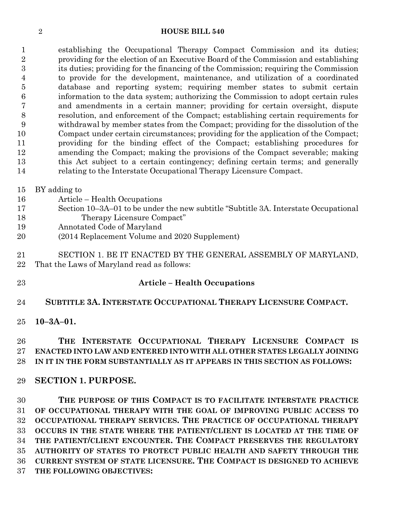#### **HOUSE BILL 540**

 establishing the Occupational Therapy Compact Commission and its duties; providing for the election of an Executive Board of the Commission and establishing its duties; providing for the financing of the Commission; requiring the Commission to provide for the development, maintenance, and utilization of a coordinated database and reporting system; requiring member states to submit certain information to the data system; authorizing the Commission to adopt certain rules and amendments in a certain manner; providing for certain oversight, dispute resolution, and enforcement of the Compact; establishing certain requirements for withdrawal by member states from the Compact; providing for the dissolution of the Compact under certain circumstances; providing for the application of the Compact; providing for the binding effect of the Compact; establishing procedures for amending the Compact; making the provisions of the Compact severable; making this Act subject to a certain contingency; defining certain terms; and generally relating to the Interstate Occupational Therapy Licensure Compact.

#### BY adding to

- Article Health Occupations
- Section 10–3A–01 to be under the new subtitle "Subtitle 3A. Interstate Occupational Therapy Licensure Compact"
- Annotated Code of Maryland
- (2014 Replacement Volume and 2020 Supplement)
- SECTION 1. BE IT ENACTED BY THE GENERAL ASSEMBLY OF MARYLAND,
- That the Laws of Maryland read as follows:
- 

#### **Article – Health Occupations**

**SUBTITLE 3A. INTERSTATE OCCUPATIONAL THERAPY LICENSURE COMPACT.**

**10–3A–01.**

## **THE INTERSTATE OCCUPATIONAL THERAPY LICENSURE COMPACT IS ENACTED INTO LAW AND ENTERED INTO WITH ALL OTHER STATES LEGALLY JOINING IN IT IN THE FORM SUBSTANTIALLY AS IT APPEARS IN THIS SECTION AS FOLLOWS:**

#### **SECTION 1. PURPOSE.**

 **THE PURPOSE OF THIS COMPACT IS TO FACILITATE INTERSTATE PRACTICE OF OCCUPATIONAL THERAPY WITH THE GOAL OF IMPROVING PUBLIC ACCESS TO OCCUPATIONAL THERAPY SERVICES. THE PRACTICE OF OCCUPATIONAL THERAPY OCCURS IN THE STATE WHERE THE PATIENT/CLIENT IS LOCATED AT THE TIME OF THE PATIENT/CLIENT ENCOUNTER. THE COMPACT PRESERVES THE REGULATORY AUTHORITY OF STATES TO PROTECT PUBLIC HEALTH AND SAFETY THROUGH THE CURRENT SYSTEM OF STATE LICENSURE. THE COMPACT IS DESIGNED TO ACHIEVE THE FOLLOWING OBJECTIVES:**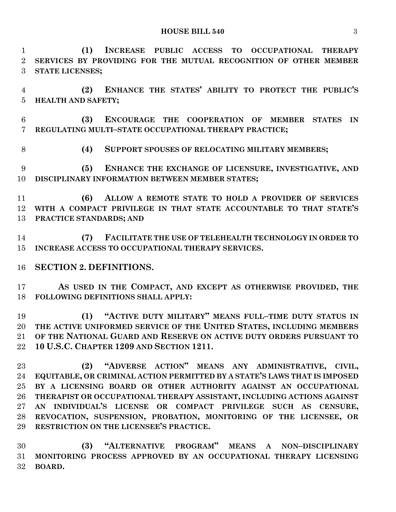**(1) INCREASE PUBLIC ACCESS TO OCCUPATIONAL THERAPY SERVICES BY PROVIDING FOR THE MUTUAL RECOGNITION OF OTHER MEMBER STATE LICENSES;**

 **(2) ENHANCE THE STATES' ABILITY TO PROTECT THE PUBLIC'S HEALTH AND SAFETY;**

 **(3) ENCOURAGE THE COOPERATION OF MEMBER STATES IN REGULATING MULTI–STATE OCCUPATIONAL THERAPY PRACTICE;**

**(4) SUPPORT SPOUSES OF RELOCATING MILITARY MEMBERS;**

 **(5) ENHANCE THE EXCHANGE OF LICENSURE, INVESTIGATIVE, AND DISCIPLINARY INFORMATION BETWEEN MEMBER STATES;**

 **(6) ALLOW A REMOTE STATE TO HOLD A PROVIDER OF SERVICES WITH A COMPACT PRIVILEGE IN THAT STATE ACCOUNTABLE TO THAT STATE'S PRACTICE STANDARDS; AND**

 **(7) FACILITATE THE USE OF TELEHEALTH TECHNOLOGY IN ORDER TO INCREASE ACCESS TO OCCUPATIONAL THERAPY SERVICES.**

## **SECTION 2. DEFINITIONS.**

 **AS USED IN THE COMPACT, AND EXCEPT AS OTHERWISE PROVIDED, THE FOLLOWING DEFINITIONS SHALL APPLY:**

 **(1) "ACTIVE DUTY MILITARY" MEANS FULL–TIME DUTY STATUS IN THE ACTIVE UNIFORMED SERVICE OF THE UNITED STATES, INCLUDING MEMBERS OF THE NATIONAL GUARD AND RESERVE ON ACTIVE DUTY ORDERS PURSUANT TO 10 U.S.C. CHAPTER 1209 AND SECTION 1211.**

 **(2) "ADVERSE ACTION" MEANS ANY ADMINISTRATIVE, CIVIL, EQUITABLE, OR CRIMINAL ACTION PERMITTED BY A STATE'S LAWS THAT IS IMPOSED BY A LICENSING BOARD OR OTHER AUTHORITY AGAINST AN OCCUPATIONAL THERAPIST OR OCCUPATIONAL THERAPY ASSISTANT, INCLUDING ACTIONS AGAINST AN INDIVIDUAL'S LICENSE OR COMPACT PRIVILEGE SUCH AS CENSURE, REVOCATION, SUSPENSION, PROBATION, MONITORING OF THE LICENSEE, OR RESTRICTION ON THE LICENSEE'S PRACTICE.**

 **(3) "ALTERNATIVE PROGRAM" MEANS A NON–DISCIPLINARY MONITORING PROCESS APPROVED BY AN OCCUPATIONAL THERAPY LICENSING BOARD.**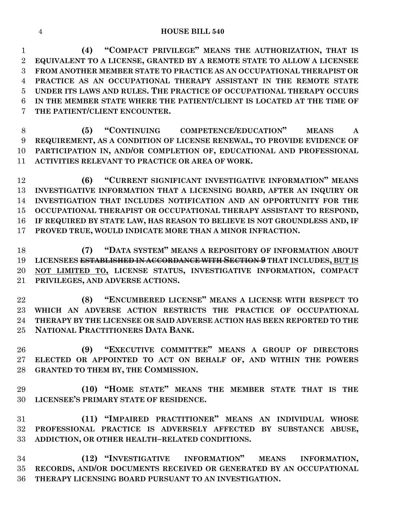**(4) "COMPACT PRIVILEGE" MEANS THE AUTHORIZATION, THAT IS EQUIVALENT TO A LICENSE, GRANTED BY A REMOTE STATE TO ALLOW A LICENSEE FROM ANOTHER MEMBER STATE TO PRACTICE AS AN OCCUPATIONAL THERAPIST OR PRACTICE AS AN OCCUPATIONAL THERAPY ASSISTANT IN THE REMOTE STATE UNDER ITS LAWS AND RULES. THE PRACTICE OF OCCUPATIONAL THERAPY OCCURS IN THE MEMBER STATE WHERE THE PATIENT/CLIENT IS LOCATED AT THE TIME OF THE PATIENT/CLIENT ENCOUNTER.**

 **(5) "CONTINUING COMPETENCE/EDUCATION" MEANS A REQUIREMENT, AS A CONDITION OF LICENSE RENEWAL, TO PROVIDE EVIDENCE OF PARTICIPATION IN, AND/OR COMPLETION OF, EDUCATIONAL AND PROFESSIONAL ACTIVITIES RELEVANT TO PRACTICE OR AREA OF WORK.**

 **(6) "CURRENT SIGNIFICANT INVESTIGATIVE INFORMATION" MEANS INVESTIGATIVE INFORMATION THAT A LICENSING BOARD, AFTER AN INQUIRY OR INVESTIGATION THAT INCLUDES NOTIFICATION AND AN OPPORTUNITY FOR THE OCCUPATIONAL THERAPIST OR OCCUPATIONAL THERAPY ASSISTANT TO RESPOND, IF REQUIRED BY STATE LAW, HAS REASON TO BELIEVE IS NOT GROUNDLESS AND, IF PROVED TRUE, WOULD INDICATE MORE THAN A MINOR INFRACTION.**

 **(7) "DATA SYSTEM" MEANS A REPOSITORY OF INFORMATION ABOUT LICENSEES ESTABLISHED IN ACCORDANCE WITH SECTION 9 THAT INCLUDES, BUT IS NOT LIMITED TO, LICENSE STATUS, INVESTIGATIVE INFORMATION, COMPACT PRIVILEGES, AND ADVERSE ACTIONS.**

 **(8) "ENCUMBERED LICENSE" MEANS A LICENSE WITH RESPECT TO WHICH AN ADVERSE ACTION RESTRICTS THE PRACTICE OF OCCUPATIONAL THERAPY BY THE LICENSEE OR SAID ADVERSE ACTION HAS BEEN REPORTED TO THE NATIONAL PRACTITIONERS DATA BANK.**

 **(9) "EXECUTIVE COMMITTEE" MEANS A GROUP OF DIRECTORS ELECTED OR APPOINTED TO ACT ON BEHALF OF, AND WITHIN THE POWERS GRANTED TO THEM BY, THE COMMISSION.**

 **(10) "HOME STATE" MEANS THE MEMBER STATE THAT IS THE LICENSEE'S PRIMARY STATE OF RESIDENCE.**

 **(11) "IMPAIRED PRACTITIONER" MEANS AN INDIVIDUAL WHOSE PROFESSIONAL PRACTICE IS ADVERSELY AFFECTED BY SUBSTANCE ABUSE, ADDICTION, OR OTHER HEALTH–RELATED CONDITIONS.**

 **(12) "INVESTIGATIVE INFORMATION" MEANS INFORMATION, RECORDS, AND/OR DOCUMENTS RECEIVED OR GENERATED BY AN OCCUPATIONAL THERAPY LICENSING BOARD PURSUANT TO AN INVESTIGATION.**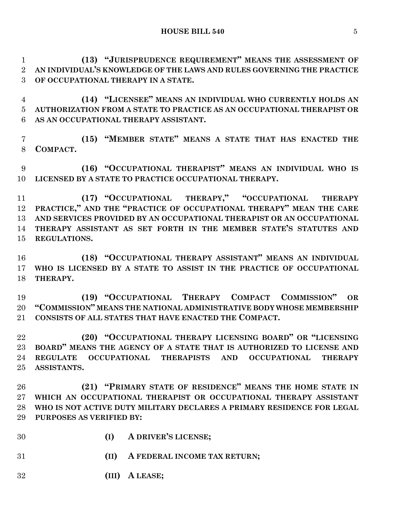**(13) "JURISPRUDENCE REQUIREMENT" MEANS THE ASSESSMENT OF AN INDIVIDUAL'S KNOWLEDGE OF THE LAWS AND RULES GOVERNING THE PRACTICE OF OCCUPATIONAL THERAPY IN A STATE.**

 **(14) "LICENSEE" MEANS AN INDIVIDUAL WHO CURRENTLY HOLDS AN AUTHORIZATION FROM A STATE TO PRACTICE AS AN OCCUPATIONAL THERAPIST OR AS AN OCCUPATIONAL THERAPY ASSISTANT.**

 **(15) "MEMBER STATE" MEANS A STATE THAT HAS ENACTED THE COMPACT.**

 **(16) "OCCUPATIONAL THERAPIST" MEANS AN INDIVIDUAL WHO IS LICENSED BY A STATE TO PRACTICE OCCUPATIONAL THERAPY.**

 **(17) "OCCUPATIONAL THERAPY," "OCCUPATIONAL THERAPY PRACTICE," AND THE "PRACTICE OF OCCUPATIONAL THERAPY" MEAN THE CARE AND SERVICES PROVIDED BY AN OCCUPATIONAL THERAPIST OR AN OCCUPATIONAL THERAPY ASSISTANT AS SET FORTH IN THE MEMBER STATE'S STATUTES AND REGULATIONS.**

 **(18) "OCCUPATIONAL THERAPY ASSISTANT" MEANS AN INDIVIDUAL WHO IS LICENSED BY A STATE TO ASSIST IN THE PRACTICE OF OCCUPATIONAL THERAPY.**

 **(19) "OCCUPATIONAL THERAPY COMPACT COMMISSION" OR "COMMISSION" MEANS THE NATIONAL ADMINISTRATIVE BODY WHOSE MEMBERSHIP CONSISTS OF ALL STATES THAT HAVE ENACTED THE COMPACT.**

 **(20) "OCCUPATIONAL THERAPY LICENSING BOARD" OR "LICENSING BOARD" MEANS THE AGENCY OF A STATE THAT IS AUTHORIZED TO LICENSE AND REGULATE OCCUPATIONAL THERAPISTS AND OCCUPATIONAL THERAPY ASSISTANTS.**

 **(21) "PRIMARY STATE OF RESIDENCE" MEANS THE HOME STATE IN WHICH AN OCCUPATIONAL THERAPIST OR OCCUPATIONAL THERAPY ASSISTANT WHO IS NOT ACTIVE DUTY MILITARY DECLARES A PRIMARY RESIDENCE FOR LEGAL PURPOSES AS VERIFIED BY:**

- **(I) A DRIVER'S LICENSE;**
- **(II) A FEDERAL INCOME TAX RETURN;**

**(III) A LEASE;**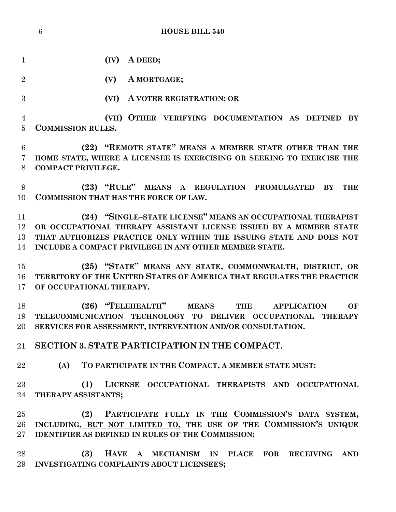**(IV) A DEED;**

**(V) A MORTGAGE;**

**(VI) A VOTER REGISTRATION; OR** 

 **(VII) OTHER VERIFYING DOCUMENTATION AS DEFINED BY COMMISSION RULES.**

 **(22) "REMOTE STATE" MEANS A MEMBER STATE OTHER THAN THE HOME STATE, WHERE A LICENSEE IS EXERCISING OR SEEKING TO EXERCISE THE COMPACT PRIVILEGE.**

 **(23) "RULE" MEANS A REGULATION PROMULGATED BY THE COMMISSION THAT HAS THE FORCE OF LAW.**

 **(24) "SINGLE–STATE LICENSE" MEANS AN OCCUPATIONAL THERAPIST OR OCCUPATIONAL THERAPY ASSISTANT LICENSE ISSUED BY A MEMBER STATE THAT AUTHORIZES PRACTICE ONLY WITHIN THE ISSUING STATE AND DOES NOT INCLUDE A COMPACT PRIVILEGE IN ANY OTHER MEMBER STATE.**

 **(25) "STATE" MEANS ANY STATE, COMMONWEALTH, DISTRICT, OR TERRITORY OF THE UNITED STATES OF AMERICA THAT REGULATES THE PRACTICE OF OCCUPATIONAL THERAPY.**

 **(26) "TELEHEALTH" MEANS THE APPLICATION OF TELECOMMUNICATION TECHNOLOGY TO DELIVER OCCUPATIONAL THERAPY SERVICES FOR ASSESSMENT, INTERVENTION AND/OR CONSULTATION.**

**SECTION 3. STATE PARTICIPATION IN THE COMPACT.**

**(A) TO PARTICIPATE IN THE COMPACT, A MEMBER STATE MUST:**

 **(1) LICENSE OCCUPATIONAL THERAPISTS AND OCCUPATIONAL THERAPY ASSISTANTS;**

 **(2) PARTICIPATE FULLY IN THE COMMISSION'S DATA SYSTEM, INCLUDING, BUT NOT LIMITED TO, THE USE OF THE COMMISSION'S UNIQUE IDENTIFIER AS DEFINED IN RULES OF THE COMMISSION;**

 **(3) HAVE A MECHANISM IN PLACE FOR RECEIVING AND INVESTIGATING COMPLAINTS ABOUT LICENSEES;**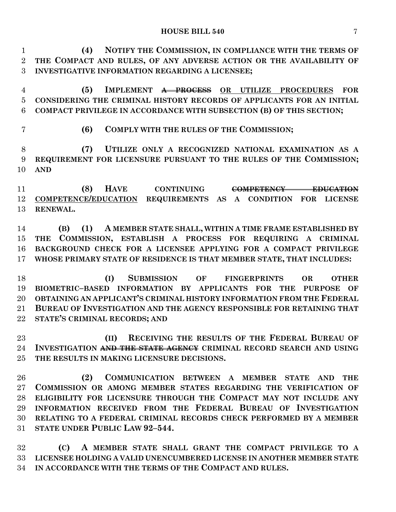**(4) NOTIFY THE COMMISSION, IN COMPLIANCE WITH THE TERMS OF THE COMPACT AND RULES, OF ANY ADVERSE ACTION OR THE AVAILABILITY OF INVESTIGATIVE INFORMATION REGARDING A LICENSEE;**

- **(5) IMPLEMENT A PROCESS OR UTILIZE PROCEDURES FOR CONSIDERING THE CRIMINAL HISTORY RECORDS OF APPLICANTS FOR AN INITIAL COMPACT PRIVILEGE IN ACCORDANCE WITH SUBSECTION (B) OF THIS SECTION;**
- 

**(6) COMPLY WITH THE RULES OF THE COMMISSION;**

 **(7) UTILIZE ONLY A RECOGNIZED NATIONAL EXAMINATION AS A REQUIREMENT FOR LICENSURE PURSUANT TO THE RULES OF THE COMMISSION; AND**

 **(8) HAVE CONTINUING COMPETENCY EDUCATION COMPETENCE/EDUCATION REQUIREMENTS AS A CONDITION FOR LICENSE RENEWAL.**

 **(B) (1) A MEMBER STATE SHALL, WITHIN A TIME FRAME ESTABLISHED BY THE COMMISSION, ESTABLISH A PROCESS FOR REQUIRING A CRIMINAL BACKGROUND CHECK FOR A LICENSEE APPLYING FOR A COMPACT PRIVILEGE WHOSE PRIMARY STATE OF RESIDENCE IS THAT MEMBER STATE, THAT INCLUDES:**

 **(I) SUBMISSION OF FINGERPRINTS OR OTHER BIOMETRIC–BASED INFORMATION BY APPLICANTS FOR THE PURPOSE OF OBTAINING AN APPLICANT'S CRIMINAL HISTORY INFORMATION FROM THE FEDERAL BUREAU OF INVESTIGATION AND THE AGENCY RESPONSIBLE FOR RETAINING THAT STATE'S CRIMINAL RECORDS; AND**

 **(II) RECEIVING THE RESULTS OF THE FEDERAL BUREAU OF INVESTIGATION AND THE STATE AGENCY CRIMINAL RECORD SEARCH AND USING THE RESULTS IN MAKING LICENSURE DECISIONS.**

 **(2) COMMUNICATION BETWEEN A MEMBER STATE AND THE COMMISSION OR AMONG MEMBER STATES REGARDING THE VERIFICATION OF ELIGIBILITY FOR LICENSURE THROUGH THE COMPACT MAY NOT INCLUDE ANY INFORMATION RECEIVED FROM THE FEDERAL BUREAU OF INVESTIGATION RELATING TO A FEDERAL CRIMINAL RECORDS CHECK PERFORMED BY A MEMBER STATE UNDER PUBLIC LAW 92–544.**

 **(C) A MEMBER STATE SHALL GRANT THE COMPACT PRIVILEGE TO A LICENSEE HOLDING A VALID UNENCUMBERED LICENSE IN ANOTHER MEMBER STATE IN ACCORDANCE WITH THE TERMS OF THE COMPACT AND RULES.**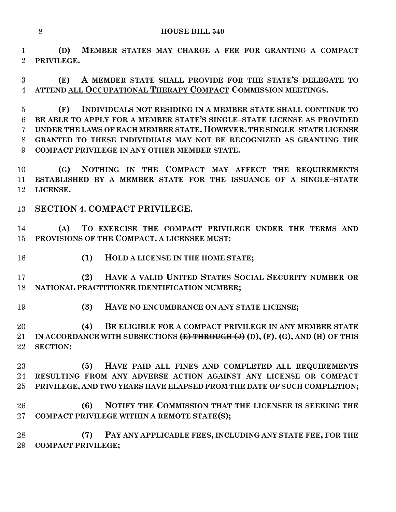**(D) MEMBER STATES MAY CHARGE A FEE FOR GRANTING A COMPACT PRIVILEGE.**

 **(E) A MEMBER STATE SHALL PROVIDE FOR THE STATE'S DELEGATE TO ATTEND ALL OCCUPATIONAL THERAPY COMPACT COMMISSION MEETINGS.**

 **(F) INDIVIDUALS NOT RESIDING IN A MEMBER STATE SHALL CONTINUE TO BE ABLE TO APPLY FOR A MEMBER STATE'S SINGLE–STATE LICENSE AS PROVIDED UNDER THE LAWS OF EACH MEMBER STATE. HOWEVER, THE SINGLE–STATE LICENSE GRANTED TO THESE INDIVIDUALS MAY NOT BE RECOGNIZED AS GRANTING THE COMPACT PRIVILEGE IN ANY OTHER MEMBER STATE.**

 **(G) NOTHING IN THE COMPACT MAY AFFECT THE REQUIREMENTS ESTABLISHED BY A MEMBER STATE FOR THE ISSUANCE OF A SINGLE–STATE LICENSE.**

## **SECTION 4. COMPACT PRIVILEGE.**

 **(A) TO EXERCISE THE COMPACT PRIVILEGE UNDER THE TERMS AND PROVISIONS OF THE COMPACT, A LICENSEE MUST:**

**(1) HOLD A LICENSE IN THE HOME STATE;**

 **(2) HAVE A VALID UNITED STATES SOCIAL SECURITY NUMBER OR NATIONAL PRACTITIONER IDENTIFICATION NUMBER;**

**(3) HAVE NO ENCUMBRANCE ON ANY STATE LICENSE;**

 **(4) BE ELIGIBLE FOR A COMPACT PRIVILEGE IN ANY MEMBER STATE**  21 IN ACCORDANCE WITH SUBSECTIONS (E) THROUGH (J) (D), (F), (G), AND (H) OF THIS **SECTION;**

 **(5) HAVE PAID ALL FINES AND COMPLETED ALL REQUIREMENTS RESULTING FROM ANY ADVERSE ACTION AGAINST ANY LICENSE OR COMPACT PRIVILEGE, AND TWO YEARS HAVE ELAPSED FROM THE DATE OF SUCH COMPLETION;**

 **(6) NOTIFY THE COMMISSION THAT THE LICENSEE IS SEEKING THE COMPACT PRIVILEGE WITHIN A REMOTE STATE(S);**

 **(7) PAY ANY APPLICABLE FEES, INCLUDING ANY STATE FEE, FOR THE COMPACT PRIVILEGE;**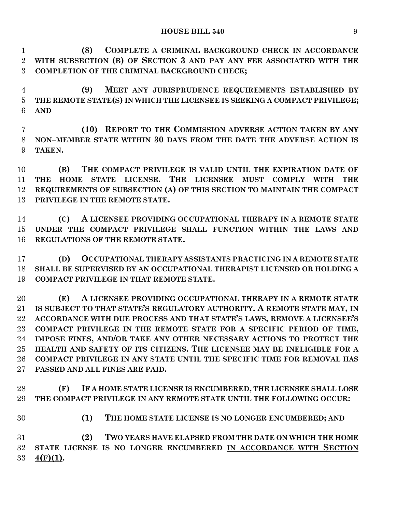**(8) COMPLETE A CRIMINAL BACKGROUND CHECK IN ACCORDANCE WITH SUBSECTION (B) OF SECTION 3 AND PAY ANY FEE ASSOCIATED WITH THE COMPLETION OF THE CRIMINAL BACKGROUND CHECK;**

 **(9) MEET ANY JURISPRUDENCE REQUIREMENTS ESTABLISHED BY THE REMOTE STATE(S) IN WHICH THE LICENSEE IS SEEKING A COMPACT PRIVILEGE; AND**

 **(10) REPORT TO THE COMMISSION ADVERSE ACTION TAKEN BY ANY NON–MEMBER STATE WITHIN 30 DAYS FROM THE DATE THE ADVERSE ACTION IS TAKEN.**

 **(B) THE COMPACT PRIVILEGE IS VALID UNTIL THE EXPIRATION DATE OF THE HOME STATE LICENSE. THE LICENSEE MUST COMPLY WITH THE REQUIREMENTS OF SUBSECTION (A) OF THIS SECTION TO MAINTAIN THE COMPACT PRIVILEGE IN THE REMOTE STATE.**

 **(C) A LICENSEE PROVIDING OCCUPATIONAL THERAPY IN A REMOTE STATE UNDER THE COMPACT PRIVILEGE SHALL FUNCTION WITHIN THE LAWS AND REGULATIONS OF THE REMOTE STATE.**

 **(D) OCCUPATIONAL THERAPY ASSISTANTS PRACTICING IN A REMOTE STATE SHALL BE SUPERVISED BY AN OCCUPATIONAL THERAPIST LICENSED OR HOLDING A COMPACT PRIVILEGE IN THAT REMOTE STATE.**

 **(E) A LICENSEE PROVIDING OCCUPATIONAL THERAPY IN A REMOTE STATE IS SUBJECT TO THAT STATE'S REGULATORY AUTHORITY. A REMOTE STATE MAY, IN ACCORDANCE WITH DUE PROCESS AND THAT STATE'S LAWS, REMOVE A LICENSEE'S COMPACT PRIVILEGE IN THE REMOTE STATE FOR A SPECIFIC PERIOD OF TIME, IMPOSE FINES, AND/OR TAKE ANY OTHER NECESSARY ACTIONS TO PROTECT THE HEALTH AND SAFETY OF ITS CITIZENS. THE LICENSEE MAY BE INELIGIBLE FOR A COMPACT PRIVILEGE IN ANY STATE UNTIL THE SPECIFIC TIME FOR REMOVAL HAS PASSED AND ALL FINES ARE PAID.**

 **(F) IF A HOME STATE LICENSE IS ENCUMBERED, THE LICENSEE SHALL LOSE THE COMPACT PRIVILEGE IN ANY REMOTE STATE UNTIL THE FOLLOWING OCCUR:**

**(1) THE HOME STATE LICENSE IS NO LONGER ENCUMBERED; AND**

 **(2) TWO YEARS HAVE ELAPSED FROM THE DATE ON WHICH THE HOME STATE LICENSE IS NO LONGER ENCUMBERED IN ACCORDANCE WITH SECTION 4(F)(1).**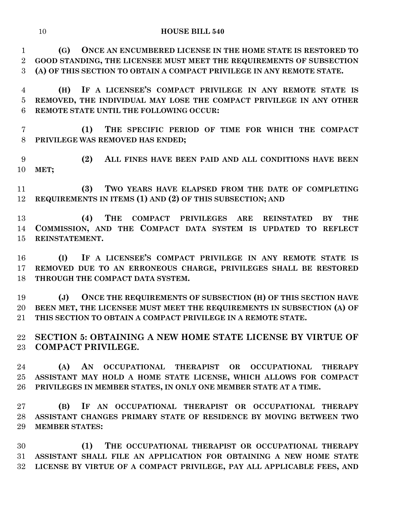#### **HOUSE BILL 540**

 **(G) ONCE AN ENCUMBERED LICENSE IN THE HOME STATE IS RESTORED TO GOOD STANDING, THE LICENSEE MUST MEET THE REQUIREMENTS OF SUBSECTION (A) OF THIS SECTION TO OBTAIN A COMPACT PRIVILEGE IN ANY REMOTE STATE.**

 **(H) IF A LICENSEE'S COMPACT PRIVILEGE IN ANY REMOTE STATE IS REMOVED, THE INDIVIDUAL MAY LOSE THE COMPACT PRIVILEGE IN ANY OTHER REMOTE STATE UNTIL THE FOLLOWING OCCUR:**

 **(1) THE SPECIFIC PERIOD OF TIME FOR WHICH THE COMPACT PRIVILEGE WAS REMOVED HAS ENDED;**

 **(2) ALL FINES HAVE BEEN PAID AND ALL CONDITIONS HAVE BEEN MET;**

 **(3) TWO YEARS HAVE ELAPSED FROM THE DATE OF COMPLETING REQUIREMENTS IN ITEMS (1) AND (2) OF THIS SUBSECTION; AND**

 **(4) THE COMPACT PRIVILEGES ARE REINSTATED BY THE COMMISSION, AND THE COMPACT DATA SYSTEM IS UPDATED TO REFLECT REINSTATEMENT.**

 **(I) IF A LICENSEE'S COMPACT PRIVILEGE IN ANY REMOTE STATE IS REMOVED DUE TO AN ERRONEOUS CHARGE, PRIVILEGES SHALL BE RESTORED THROUGH THE COMPACT DATA SYSTEM.**

 **(J) ONCE THE REQUIREMENTS OF SUBSECTION (H) OF THIS SECTION HAVE BEEN MET, THE LICENSEE MUST MEET THE REQUIREMENTS IN SUBSECTION (A) OF THIS SECTION TO OBTAIN A COMPACT PRIVILEGE IN A REMOTE STATE.**

 **SECTION 5: OBTAINING A NEW HOME STATE LICENSE BY VIRTUE OF COMPACT PRIVILEGE.**

 **(A) AN OCCUPATIONAL THERAPIST OR OCCUPATIONAL THERAPY ASSISTANT MAY HOLD A HOME STATE LICENSE, WHICH ALLOWS FOR COMPACT PRIVILEGES IN MEMBER STATES, IN ONLY ONE MEMBER STATE AT A TIME.**

 **(B) IF AN OCCUPATIONAL THERAPIST OR OCCUPATIONAL THERAPY ASSISTANT CHANGES PRIMARY STATE OF RESIDENCE BY MOVING BETWEEN TWO MEMBER STATES:**

 **(1) THE OCCUPATIONAL THERAPIST OR OCCUPATIONAL THERAPY ASSISTANT SHALL FILE AN APPLICATION FOR OBTAINING A NEW HOME STATE LICENSE BY VIRTUE OF A COMPACT PRIVILEGE, PAY ALL APPLICABLE FEES, AND**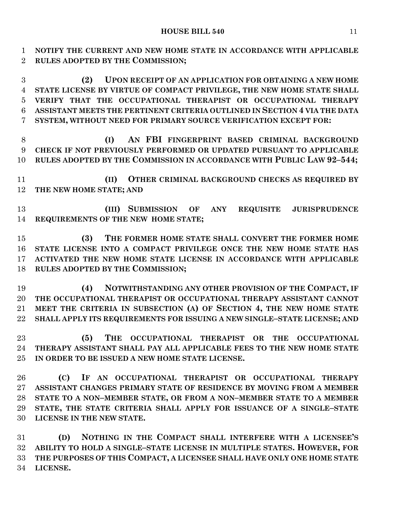**NOTIFY THE CURRENT AND NEW HOME STATE IN ACCORDANCE WITH APPLICABLE RULES ADOPTED BY THE COMMISSION;**

 **(2) UPON RECEIPT OF AN APPLICATION FOR OBTAINING A NEW HOME STATE LICENSE BY VIRTUE OF COMPACT PRIVILEGE, THE NEW HOME STATE SHALL VERIFY THAT THE OCCUPATIONAL THERAPIST OR OCCUPATIONAL THERAPY ASSISTANT MEETS THE PERTINENT CRITERIA OUTLINED IN SECTION 4 VIA THE DATA SYSTEM, WITHOUT NEED FOR PRIMARY SOURCE VERIFICATION EXCEPT FOR:**

 **(I) AN FBI FINGERPRINT BASED CRIMINAL BACKGROUND CHECK IF NOT PREVIOUSLY PERFORMED OR UPDATED PURSUANT TO APPLICABLE RULES ADOPTED BY THE COMMISSION IN ACCORDANCE WITH PUBLIC LAW 92–544;**

 **(II) OTHER CRIMINAL BACKGROUND CHECKS AS REQUIRED BY THE NEW HOME STATE; AND**

 **(III) SUBMISSION OF ANY REQUISITE JURISPRUDENCE REQUIREMENTS OF THE NEW HOME STATE;**

 **(3) THE FORMER HOME STATE SHALL CONVERT THE FORMER HOME STATE LICENSE INTO A COMPACT PRIVILEGE ONCE THE NEW HOME STATE HAS ACTIVATED THE NEW HOME STATE LICENSE IN ACCORDANCE WITH APPLICABLE RULES ADOPTED BY THE COMMISSION;**

 **(4) NOTWITHSTANDING ANY OTHER PROVISION OF THE COMPACT, IF THE OCCUPATIONAL THERAPIST OR OCCUPATIONAL THERAPY ASSISTANT CANNOT MEET THE CRITERIA IN SUBSECTION (A) OF SECTION 4, THE NEW HOME STATE SHALL APPLY ITS REQUIREMENTS FOR ISSUING A NEW SINGLE–STATE LICENSE; AND**

 **(5) THE OCCUPATIONAL THERAPIST OR THE OCCUPATIONAL THERAPY ASSISTANT SHALL PAY ALL APPLICABLE FEES TO THE NEW HOME STATE IN ORDER TO BE ISSUED A NEW HOME STATE LICENSE.**

 **(C) IF AN OCCUPATIONAL THERAPIST OR OCCUPATIONAL THERAPY ASSISTANT CHANGES PRIMARY STATE OF RESIDENCE BY MOVING FROM A MEMBER STATE TO A NON–MEMBER STATE, OR FROM A NON–MEMBER STATE TO A MEMBER STATE, THE STATE CRITERIA SHALL APPLY FOR ISSUANCE OF A SINGLE–STATE LICENSE IN THE NEW STATE.**

 **(D) NOTHING IN THE COMPACT SHALL INTERFERE WITH A LICENSEE'S ABILITY TO HOLD A SINGLE–STATE LICENSE IN MULTIPLE STATES. HOWEVER, FOR THE PURPOSES OF THIS COMPACT, A LICENSEE SHALL HAVE ONLY ONE HOME STATE LICENSE.**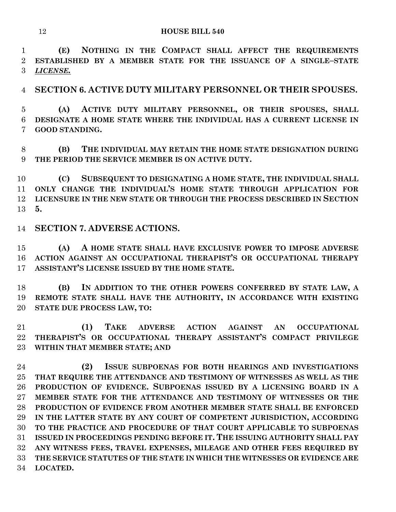**(E) NOTHING IN THE COMPACT SHALL AFFECT THE REQUIREMENTS ESTABLISHED BY A MEMBER STATE FOR THE ISSUANCE OF A SINGLE–STATE**  *LICENSE.*

**SECTION 6. ACTIVE DUTY MILITARY PERSONNEL OR THEIR SPOUSES.**

 **(A) ACTIVE DUTY MILITARY PERSONNEL, OR THEIR SPOUSES, SHALL DESIGNATE A HOME STATE WHERE THE INDIVIDUAL HAS A CURRENT LICENSE IN GOOD STANDING.**

 **(B) THE INDIVIDUAL MAY RETAIN THE HOME STATE DESIGNATION DURING THE PERIOD THE SERVICE MEMBER IS ON ACTIVE DUTY.**

 **(C) SUBSEQUENT TO DESIGNATING A HOME STATE, THE INDIVIDUAL SHALL ONLY CHANGE THE INDIVIDUAL'S HOME STATE THROUGH APPLICATION FOR LICENSURE IN THE NEW STATE OR THROUGH THE PROCESS DESCRIBED IN SECTION 5.**

**SECTION 7. ADVERSE ACTIONS.**

 **(A) A HOME STATE SHALL HAVE EXCLUSIVE POWER TO IMPOSE ADVERSE ACTION AGAINST AN OCCUPATIONAL THERAPIST'S OR OCCUPATIONAL THERAPY ASSISTANT'S LICENSE ISSUED BY THE HOME STATE.**

 **(B) IN ADDITION TO THE OTHER POWERS CONFERRED BY STATE LAW, A REMOTE STATE SHALL HAVE THE AUTHORITY, IN ACCORDANCE WITH EXISTING STATE DUE PROCESS LAW, TO:**

 **(1) TAKE ADVERSE ACTION AGAINST AN OCCUPATIONAL THERAPIST'S OR OCCUPATIONAL THERAPY ASSISTANT'S COMPACT PRIVILEGE WITHIN THAT MEMBER STATE; AND**

 **(2) ISSUE SUBPOENAS FOR BOTH HEARINGS AND INVESTIGATIONS THAT REQUIRE THE ATTENDANCE AND TESTIMONY OF WITNESSES AS WELL AS THE PRODUCTION OF EVIDENCE. SUBPOENAS ISSUED BY A LICENSING BOARD IN A MEMBER STATE FOR THE ATTENDANCE AND TESTIMONY OF WITNESSES OR THE PRODUCTION OF EVIDENCE FROM ANOTHER MEMBER STATE SHALL BE ENFORCED IN THE LATTER STATE BY ANY COURT OF COMPETENT JURISDICTION, ACCORDING TO THE PRACTICE AND PROCEDURE OF THAT COURT APPLICABLE TO SUBPOENAS ISSUED IN PROCEEDINGS PENDING BEFORE IT. THE ISSUING AUTHORITY SHALL PAY ANY WITNESS FEES, TRAVEL EXPENSES, MILEAGE AND OTHER FEES REQUIRED BY THE SERVICE STATUTES OF THE STATE IN WHICH THE WITNESSES OR EVIDENCE ARE LOCATED.**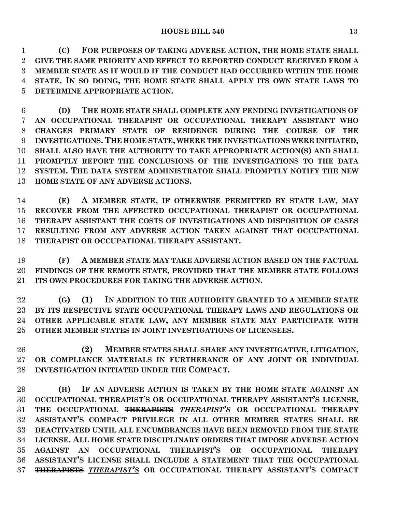**(C) FOR PURPOSES OF TAKING ADVERSE ACTION, THE HOME STATE SHALL GIVE THE SAME PRIORITY AND EFFECT TO REPORTED CONDUCT RECEIVED FROM A MEMBER STATE AS IT WOULD IF THE CONDUCT HAD OCCURRED WITHIN THE HOME STATE. IN SO DOING, THE HOME STATE SHALL APPLY ITS OWN STATE LAWS TO DETERMINE APPROPRIATE ACTION.**

 **(D) THE HOME STATE SHALL COMPLETE ANY PENDING INVESTIGATIONS OF AN OCCUPATIONAL THERAPIST OR OCCUPATIONAL THERAPY ASSISTANT WHO CHANGES PRIMARY STATE OF RESIDENCE DURING THE COURSE OF THE INVESTIGATIONS. THE HOME STATE, WHERE THE INVESTIGATIONS WERE INITIATED, SHALL ALSO HAVE THE AUTHORITY TO TAKE APPROPRIATE ACTION(S) AND SHALL PROMPTLY REPORT THE CONCLUSIONS OF THE INVESTIGATIONS TO THE DATA SYSTEM. THE DATA SYSTEM ADMINISTRATOR SHALL PROMPTLY NOTIFY THE NEW HOME STATE OF ANY ADVERSE ACTIONS.**

 **(E) A MEMBER STATE, IF OTHERWISE PERMITTED BY STATE LAW, MAY RECOVER FROM THE AFFECTED OCCUPATIONAL THERAPIST OR OCCUPATIONAL THERAPY ASSISTANT THE COSTS OF INVESTIGATIONS AND DISPOSITION OF CASES RESULTING FROM ANY ADVERSE ACTION TAKEN AGAINST THAT OCCUPATIONAL THERAPIST OR OCCUPATIONAL THERAPY ASSISTANT.**

 **(F) A MEMBER STATE MAY TAKE ADVERSE ACTION BASED ON THE FACTUAL FINDINGS OF THE REMOTE STATE, PROVIDED THAT THE MEMBER STATE FOLLOWS ITS OWN PROCEDURES FOR TAKING THE ADVERSE ACTION.**

 **(G) (1) IN ADDITION TO THE AUTHORITY GRANTED TO A MEMBER STATE BY ITS RESPECTIVE STATE OCCUPATIONAL THERAPY LAWS AND REGULATIONS OR OTHER APPLICABLE STATE LAW, ANY MEMBER STATE MAY PARTICIPATE WITH OTHER MEMBER STATES IN JOINT INVESTIGATIONS OF LICENSEES.**

 **(2) MEMBER STATES SHALL SHARE ANY INVESTIGATIVE, LITIGATION, OR COMPLIANCE MATERIALS IN FURTHERANCE OF ANY JOINT OR INDIVIDUAL INVESTIGATION INITIATED UNDER THE COMPACT.**

 **(H) IF AN ADVERSE ACTION IS TAKEN BY THE HOME STATE AGAINST AN OCCUPATIONAL THERAPIST'S OR OCCUPATIONAL THERAPY ASSISTANT'S LICENSE, THE OCCUPATIONAL THERAPISTS** *THERAPIST'S* **OR OCCUPATIONAL THERAPY ASSISTANT'S COMPACT PRIVILEGE IN ALL OTHER MEMBER STATES SHALL BE DEACTIVATED UNTIL ALL ENCUMBRANCES HAVE BEEN REMOVED FROM THE STATE LICENSE. ALL HOME STATE DISCIPLINARY ORDERS THAT IMPOSE ADVERSE ACTION AGAINST AN OCCUPATIONAL THERAPIST'S OR OCCUPATIONAL THERAPY ASSISTANT'S LICENSE SHALL INCLUDE A STATEMENT THAT THE OCCUPATIONAL THERAPISTS** *THERAPIST'S* **OR OCCUPATIONAL THERAPY ASSISTANT'S COMPACT**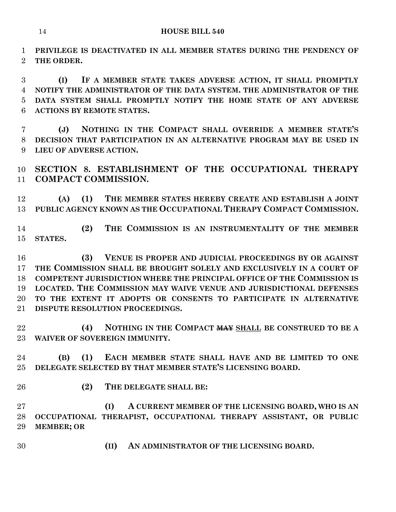**PRIVILEGE IS DEACTIVATED IN ALL MEMBER STATES DURING THE PENDENCY OF THE ORDER.**

 **(I) IF A MEMBER STATE TAKES ADVERSE ACTION, IT SHALL PROMPTLY NOTIFY THE ADMINISTRATOR OF THE DATA SYSTEM. THE ADMINISTRATOR OF THE DATA SYSTEM SHALL PROMPTLY NOTIFY THE HOME STATE OF ANY ADVERSE ACTIONS BY REMOTE STATES.**

 **(J) NOTHING IN THE COMPACT SHALL OVERRIDE A MEMBER STATE'S DECISION THAT PARTICIPATION IN AN ALTERNATIVE PROGRAM MAY BE USED IN LIEU OF ADVERSE ACTION.**

 **SECTION 8. ESTABLISHMENT OF THE OCCUPATIONAL THERAPY COMPACT COMMISSION.**

 **(A) (1) THE MEMBER STATES HEREBY CREATE AND ESTABLISH A JOINT PUBLIC AGENCY KNOWN AS THE OCCUPATIONAL THERAPY COMPACT COMMISSION.**

 **(2) THE COMMISSION IS AN INSTRUMENTALITY OF THE MEMBER STATES.**

 **(3) VENUE IS PROPER AND JUDICIAL PROCEEDINGS BY OR AGAINST THE COMMISSION SHALL BE BROUGHT SOLELY AND EXCLUSIVELY IN A COURT OF COMPETENT JURISDICTION WHERE THE PRINCIPAL OFFICE OF THE COMMISSION IS LOCATED. THE COMMISSION MAY WAIVE VENUE AND JURISDICTIONAL DEFENSES TO THE EXTENT IT ADOPTS OR CONSENTS TO PARTICIPATE IN ALTERNATIVE DISPUTE RESOLUTION PROCEEDINGS.**

 **(4) NOTHING IN THE COMPACT MAY SHALL BE CONSTRUED TO BE A WAIVER OF SOVEREIGN IMMUNITY.**

 **(B) (1) EACH MEMBER STATE SHALL HAVE AND BE LIMITED TO ONE DELEGATE SELECTED BY THAT MEMBER STATE'S LICENSING BOARD.**

**(2) THE DELEGATE SHALL BE:**

 **(I) A CURRENT MEMBER OF THE LICENSING BOARD, WHO IS AN OCCUPATIONAL THERAPIST, OCCUPATIONAL THERAPY ASSISTANT, OR PUBLIC MEMBER; OR** 

**(II) AN ADMINISTRATOR OF THE LICENSING BOARD.**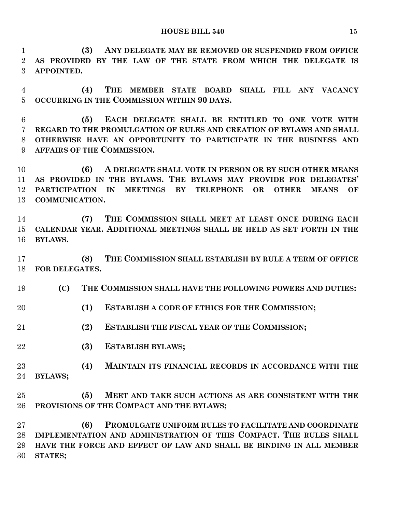**HOUSE BILL 540** 15

 **(3) ANY DELEGATE MAY BE REMOVED OR SUSPENDED FROM OFFICE AS PROVIDED BY THE LAW OF THE STATE FROM WHICH THE DELEGATE IS APPOINTED.**

 **(4) THE MEMBER STATE BOARD SHALL FILL ANY VACANCY OCCURRING IN THE COMMISSION WITHIN 90 DAYS.**

 **(5) EACH DELEGATE SHALL BE ENTITLED TO ONE VOTE WITH REGARD TO THE PROMULGATION OF RULES AND CREATION OF BYLAWS AND SHALL OTHERWISE HAVE AN OPPORTUNITY TO PARTICIPATE IN THE BUSINESS AND AFFAIRS OF THE COMMISSION.**

 **(6) A DELEGATE SHALL VOTE IN PERSON OR BY SUCH OTHER MEANS AS PROVIDED IN THE BYLAWS. THE BYLAWS MAY PROVIDE FOR DELEGATES' PARTICIPATION IN MEETINGS BY TELEPHONE OR OTHER MEANS OF COMMUNICATION.**

 **(7) THE COMMISSION SHALL MEET AT LEAST ONCE DURING EACH CALENDAR YEAR. ADDITIONAL MEETINGS SHALL BE HELD AS SET FORTH IN THE BYLAWS.**

 **(8) THE COMMISSION SHALL ESTABLISH BY RULE A TERM OF OFFICE FOR DELEGATES.**

**(C) THE COMMISSION SHALL HAVE THE FOLLOWING POWERS AND DUTIES:**

- **(1) ESTABLISH A CODE OF ETHICS FOR THE COMMISSION;**
- **(2) ESTABLISH THE FISCAL YEAR OF THE COMMISSION;**
- **(3) ESTABLISH BYLAWS;**

 **(4) MAINTAIN ITS FINANCIAL RECORDS IN ACCORDANCE WITH THE BYLAWS;**

 **(5) MEET AND TAKE SUCH ACTIONS AS ARE CONSISTENT WITH THE PROVISIONS OF THE COMPACT AND THE BYLAWS;**

 **(6) PROMULGATE UNIFORM RULES TO FACILITATE AND COORDINATE IMPLEMENTATION AND ADMINISTRATION OF THIS COMPACT. THE RULES SHALL HAVE THE FORCE AND EFFECT OF LAW AND SHALL BE BINDING IN ALL MEMBER STATES;**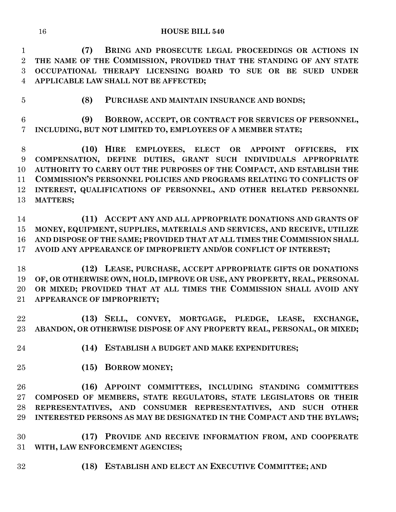**(7) BRING AND PROSECUTE LEGAL PROCEEDINGS OR ACTIONS IN THE NAME OF THE COMMISSION, PROVIDED THAT THE STANDING OF ANY STATE OCCUPATIONAL THERAPY LICENSING BOARD TO SUE OR BE SUED UNDER APPLICABLE LAW SHALL NOT BE AFFECTED;**

**(8) PURCHASE AND MAINTAIN INSURANCE AND BONDS;**

 **(9) BORROW, ACCEPT, OR CONTRACT FOR SERVICES OF PERSONNEL, INCLUDING, BUT NOT LIMITED TO, EMPLOYEES OF A MEMBER STATE;**

 **(10) HIRE EMPLOYEES, ELECT OR APPOINT OFFICERS, FIX COMPENSATION, DEFINE DUTIES, GRANT SUCH INDIVIDUALS APPROPRIATE AUTHORITY TO CARRY OUT THE PURPOSES OF THE COMPACT, AND ESTABLISH THE COMMISSION'S PERSONNEL POLICIES AND PROGRAMS RELATING TO CONFLICTS OF INTEREST, QUALIFICATIONS OF PERSONNEL, AND OTHER RELATED PERSONNEL MATTERS;**

 **(11) ACCEPT ANY AND ALL APPROPRIATE DONATIONS AND GRANTS OF MONEY, EQUIPMENT, SUPPLIES, MATERIALS AND SERVICES, AND RECEIVE, UTILIZE AND DISPOSE OF THE SAME; PROVIDED THAT AT ALL TIMES THE COMMISSION SHALL AVOID ANY APPEARANCE OF IMPROPRIETY AND/OR CONFLICT OF INTEREST;**

 **(12) LEASE, PURCHASE, ACCEPT APPROPRIATE GIFTS OR DONATIONS OF, OR OTHERWISE OWN, HOLD, IMPROVE OR USE, ANY PROPERTY, REAL, PERSONAL OR MIXED; PROVIDED THAT AT ALL TIMES THE COMMISSION SHALL AVOID ANY APPEARANCE OF IMPROPRIETY;**

 **(13) SELL, CONVEY, MORTGAGE, PLEDGE, LEASE, EXCHANGE, ABANDON, OR OTHERWISE DISPOSE OF ANY PROPERTY REAL, PERSONAL, OR MIXED;**

**(14) ESTABLISH A BUDGET AND MAKE EXPENDITURES;**

**(15) BORROW MONEY;**

 **(16) APPOINT COMMITTEES, INCLUDING STANDING COMMITTEES COMPOSED OF MEMBERS, STATE REGULATORS, STATE LEGISLATORS OR THEIR REPRESENTATIVES, AND CONSUMER REPRESENTATIVES, AND SUCH OTHER INTERESTED PERSONS AS MAY BE DESIGNATED IN THE COMPACT AND THE BYLAWS;**

 **(17) PROVIDE AND RECEIVE INFORMATION FROM, AND COOPERATE WITH, LAW ENFORCEMENT AGENCIES;**

**(18) ESTABLISH AND ELECT AN EXECUTIVE COMMITTEE; AND**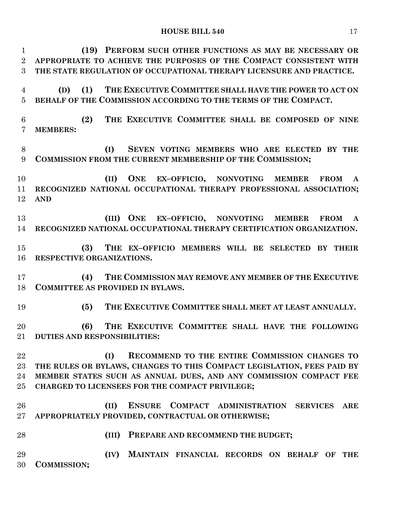#### **HOUSE BILL 540** 17

| $\mathbf{1}$    | (19) PERFORM SUCH OTHER FUNCTIONS AS MAY BE NECESSARY OR                |
|-----------------|-------------------------------------------------------------------------|
| $\overline{2}$  | APPROPRIATE TO ACHIEVE THE PURPOSES OF THE COMPACT CONSISTENT WITH      |
| 3               | THE STATE REGULATION OF OCCUPATIONAL THERAPY LICENSURE AND PRACTICE.    |
| 4               | THE EXECUTIVE COMMITTEE SHALL HAVE THE POWER TO ACT ON<br>(D)<br>(1)    |
| $\overline{5}$  | BEHALF OF THE COMMISSION ACCORDING TO THE TERMS OF THE COMPACT.         |
| $6\phantom{.}6$ | THE EXECUTIVE COMMITTEE SHALL BE COMPOSED OF NINE<br>(2)                |
| $\overline{7}$  | <b>MEMBERS:</b>                                                         |
| 8               | SEVEN VOTING MEMBERS WHO ARE ELECTED BY THE<br>(I)                      |
| 9               | COMMISSION FROM THE CURRENT MEMBERSHIP OF THE COMMISSION;               |
| 10              | (II)<br>ONE EX-OFFICIO, NONVOTING MEMBER<br><b>FROM</b><br>$\mathbf{A}$ |
| 11              | RECOGNIZED NATIONAL OCCUPATIONAL THERAPY PROFESSIONAL ASSOCIATION;      |
| 12              | <b>AND</b>                                                              |
| 13              | (III) ONE EX-OFFICIO, NONVOTING MEMBER FROM<br>$\mathbf{A}$             |
| 14              | RECOGNIZED NATIONAL OCCUPATIONAL THERAPY CERTIFICATION ORGANIZATION.    |
| 15              | THE EX-OFFICIO MEMBERS WILL BE SELECTED BY THEIR<br>(3)                 |
| 16              | RESPECTIVE ORGANIZATIONS.                                               |
| 17              | THE COMMISSION MAY REMOVE ANY MEMBER OF THE EXECUTIVE<br>(4)            |
| 18              | <b>COMMITTEE AS PROVIDED IN BYLAWS.</b>                                 |
| 19              | THE EXECUTIVE COMMITTEE SHALL MEET AT LEAST ANNUALLY.<br>(5)            |
| 20              | THE EXECUTIVE COMMITTEE SHALL HAVE THE FOLLOWING<br>(6)                 |
|                 | 21 DUTIES AND RESPONSIBILITIES:                                         |
| 22              | RECOMMEND TO THE ENTIRE COMMISSION CHANGES TO<br>(I)                    |
| $23\,$          | THE RULES OR BYLAWS, CHANGES TO THIS COMPACT LEGISLATION, FEES PAID BY  |
| 24              | MEMBER STATES SUCH AS ANNUAL DUES, AND ANY COMMISSION COMPACT FEE       |
| $25\,$          | CHARGED TO LICENSEES FOR THE COMPACT PRIVILEGE;                         |
| 26              | ENSURE COMPACT ADMINISTRATION SERVICES<br>(II)<br>ARE                   |
| $27\,$          | APPROPRIATELY PROVIDED, CONTRACTUAL OR OTHERWISE;                       |
| 28              | PREPARE AND RECOMMEND THE BUDGET;<br>(III)                              |
| 29              | MAINTAIN FINANCIAL RECORDS ON BEHALF OF<br>(IV)<br>THE                  |
| 30              | COMMISSION;                                                             |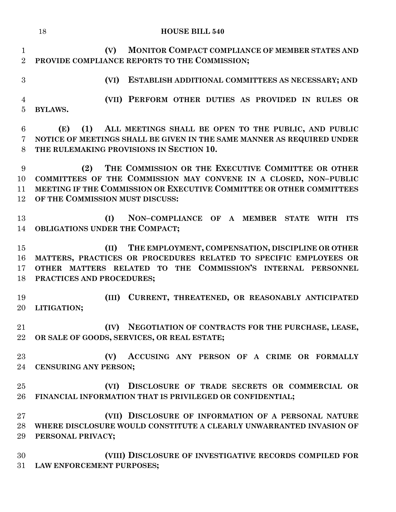|                                  | <b>HOUSE BILL 540</b><br>18                                                                                                                                                                                                              |
|----------------------------------|------------------------------------------------------------------------------------------------------------------------------------------------------------------------------------------------------------------------------------------|
| $\mathbf{1}$<br>$\overline{2}$   | MONITOR COMPACT COMPLIANCE OF MEMBER STATES AND<br>(V)<br>PROVIDE COMPLIANCE REPORTS TO THE COMMISSION;                                                                                                                                  |
| 3                                | ESTABLISH ADDITIONAL COMMITTEES AS NECESSARY; AND<br>(VI)                                                                                                                                                                                |
| $\overline{4}$<br>$\overline{5}$ | (VII) PERFORM OTHER DUTIES AS PROVIDED IN RULES OR<br><b>BYLAWS.</b>                                                                                                                                                                     |
| 6<br>7<br>8                      | ALL MEETINGS SHALL BE OPEN TO THE PUBLIC, AND PUBLIC<br>(E)<br>(1)<br>NOTICE OF MEETINGS SHALL BE GIVEN IN THE SAME MANNER AS REQUIRED UNDER<br>THE RULEMAKING PROVISIONS IN SECTION 10.                                                 |
| 9<br>10<br>11<br>12              | THE COMMISSION OR THE EXECUTIVE COMMITTEE OR OTHER<br>(2)<br>COMMITTEES OF THE COMMISSION MAY CONVENE IN A CLOSED, NON-PUBLIC<br>MEETING IF THE COMMISSION OR EXECUTIVE COMMITTEE OR OTHER COMMITTEES<br>OF THE COMMISSION MUST DISCUSS: |
| 13<br>14                         | (I)<br>NON-COMPLIANCE OF A MEMBER STATE WITH ITS<br>OBLIGATIONS UNDER THE COMPACT;                                                                                                                                                       |
| 15<br>16<br>17<br>18             | THE EMPLOYMENT, COMPENSATION, DISCIPLINE OR OTHER<br>(II)<br>MATTERS, PRACTICES OR PROCEDURES RELATED TO SPECIFIC EMPLOYEES OR<br>OTHER MATTERS RELATED TO THE COMMISSION'S INTERNAL PERSONNEL<br>PRACTICES AND PROCEDURES;              |
| 19<br>20                         | CURRENT, THREATENED, OR REASONABLY ANTICIPATED<br>(III)<br>LITIGATION;                                                                                                                                                                   |
| 21<br>22                         | (IV) NEGOTIATION OF CONTRACTS FOR THE PURCHASE, LEASE,<br>OR SALE OF GOODS, SERVICES, OR REAL ESTATE;                                                                                                                                    |
| 23<br>24                         | ACCUSING ANY PERSON OF A CRIME OR FORMALLY<br>(V)<br><b>CENSURING ANY PERSON;</b>                                                                                                                                                        |
| 25<br>26                         | (VI) DISCLOSURE OF TRADE SECRETS OR COMMERCIAL OR<br>FINANCIAL INFORMATION THAT IS PRIVILEGED OR CONFIDENTIAL;                                                                                                                           |
| $27\,$<br>28<br>29               | (VII) DISCLOSURE OF INFORMATION OF A PERSONAL NATURE<br>WHERE DISCLOSURE WOULD CONSTITUTE A CLEARLY UNWARRANTED INVASION OF<br>PERSONAL PRIVACY;                                                                                         |
| 30<br>31                         | (VIII) DISCLOSURE OF INVESTIGATIVE RECORDS COMPILED FOR<br>LAW ENFORCEMENT PURPOSES;                                                                                                                                                     |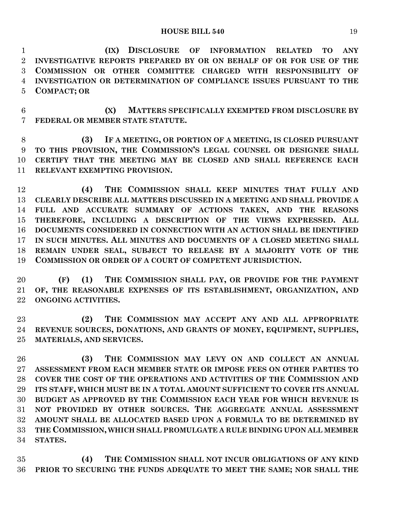**HOUSE BILL 540** 19

 **(IX) DISCLOSURE OF INFORMATION RELATED TO ANY INVESTIGATIVE REPORTS PREPARED BY OR ON BEHALF OF OR FOR USE OF THE COMMISSION OR OTHER COMMITTEE CHARGED WITH RESPONSIBILITY OF INVESTIGATION OR DETERMINATION OF COMPLIANCE ISSUES PURSUANT TO THE COMPACT; OR**

 **(X) MATTERS SPECIFICALLY EXEMPTED FROM DISCLOSURE BY FEDERAL OR MEMBER STATE STATUTE.**

 **(3) IF A MEETING, OR PORTION OF A MEETING, IS CLOSED PURSUANT TO THIS PROVISION, THE COMMISSION'S LEGAL COUNSEL OR DESIGNEE SHALL CERTIFY THAT THE MEETING MAY BE CLOSED AND SHALL REFERENCE EACH RELEVANT EXEMPTING PROVISION.**

 **(4) THE COMMISSION SHALL KEEP MINUTES THAT FULLY AND CLEARLY DESCRIBE ALL MATTERS DISCUSSED IN A MEETING AND SHALL PROVIDE A FULL AND ACCURATE SUMMARY OF ACTIONS TAKEN, AND THE REASONS THEREFORE, INCLUDING A DESCRIPTION OF THE VIEWS EXPRESSED. ALL DOCUMENTS CONSIDERED IN CONNECTION WITH AN ACTION SHALL BE IDENTIFIED IN SUCH MINUTES. ALL MINUTES AND DOCUMENTS OF A CLOSED MEETING SHALL REMAIN UNDER SEAL, SUBJECT TO RELEASE BY A MAJORITY VOTE OF THE COMMISSION OR ORDER OF A COURT OF COMPETENT JURISDICTION.**

 **(F) (1) THE COMMISSION SHALL PAY, OR PROVIDE FOR THE PAYMENT OF, THE REASONABLE EXPENSES OF ITS ESTABLISHMENT, ORGANIZATION, AND ONGOING ACTIVITIES.**

 **(2) THE COMMISSION MAY ACCEPT ANY AND ALL APPROPRIATE REVENUE SOURCES, DONATIONS, AND GRANTS OF MONEY, EQUIPMENT, SUPPLIES, MATERIALS, AND SERVICES.**

 **(3) THE COMMISSION MAY LEVY ON AND COLLECT AN ANNUAL ASSESSMENT FROM EACH MEMBER STATE OR IMPOSE FEES ON OTHER PARTIES TO COVER THE COST OF THE OPERATIONS AND ACTIVITIES OF THE COMMISSION AND ITS STAFF, WHICH MUST BE IN A TOTAL AMOUNT SUFFICIENT TO COVER ITS ANNUAL BUDGET AS APPROVED BY THE COMMISSION EACH YEAR FOR WHICH REVENUE IS NOT PROVIDED BY OTHER SOURCES. THE AGGREGATE ANNUAL ASSESSMENT AMOUNT SHALL BE ALLOCATED BASED UPON A FORMULA TO BE DETERMINED BY THE COMMISSION, WHICH SHALL PROMULGATE A RULE BINDING UPON ALL MEMBER STATES.**

 **(4) THE COMMISSION SHALL NOT INCUR OBLIGATIONS OF ANY KIND PRIOR TO SECURING THE FUNDS ADEQUATE TO MEET THE SAME; NOR SHALL THE**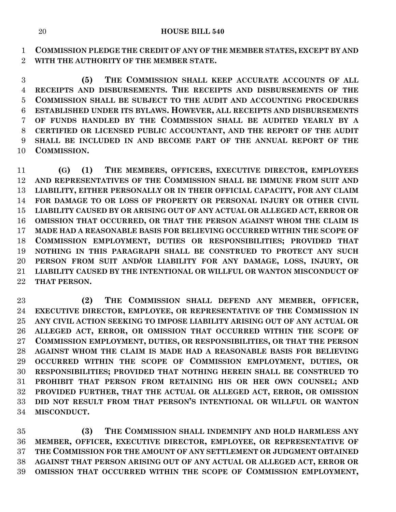**COMMISSION PLEDGE THE CREDIT OF ANY OF THE MEMBER STATES, EXCEPT BY AND WITH THE AUTHORITY OF THE MEMBER STATE.**

 **(5) THE COMMISSION SHALL KEEP ACCURATE ACCOUNTS OF ALL RECEIPTS AND DISBURSEMENTS. THE RECEIPTS AND DISBURSEMENTS OF THE COMMISSION SHALL BE SUBJECT TO THE AUDIT AND ACCOUNTING PROCEDURES ESTABLISHED UNDER ITS BYLAWS. HOWEVER, ALL RECEIPTS AND DISBURSEMENTS OF FUNDS HANDLED BY THE COMMISSION SHALL BE AUDITED YEARLY BY A CERTIFIED OR LICENSED PUBLIC ACCOUNTANT, AND THE REPORT OF THE AUDIT SHALL BE INCLUDED IN AND BECOME PART OF THE ANNUAL REPORT OF THE COMMISSION.**

 **(G) (1) THE MEMBERS, OFFICERS, EXECUTIVE DIRECTOR, EMPLOYEES AND REPRESENTATIVES OF THE COMMISSION SHALL BE IMMUNE FROM SUIT AND LIABILITY, EITHER PERSONALLY OR IN THEIR OFFICIAL CAPACITY, FOR ANY CLAIM FOR DAMAGE TO OR LOSS OF PROPERTY OR PERSONAL INJURY OR OTHER CIVIL LIABILITY CAUSED BY OR ARISING OUT OF ANY ACTUAL OR ALLEGED ACT, ERROR OR OMISSION THAT OCCURRED, OR THAT THE PERSON AGAINST WHOM THE CLAIM IS MADE HAD A REASONABLE BASIS FOR BELIEVING OCCURRED WITHIN THE SCOPE OF COMMISSION EMPLOYMENT, DUTIES OR RESPONSIBILITIES; PROVIDED THAT NOTHING IN THIS PARAGRAPH SHALL BE CONSTRUED TO PROTECT ANY SUCH PERSON FROM SUIT AND/OR LIABILITY FOR ANY DAMAGE, LOSS, INJURY, OR LIABILITY CAUSED BY THE INTENTIONAL OR WILLFUL OR WANTON MISCONDUCT OF THAT PERSON.**

 **(2) THE COMMISSION SHALL DEFEND ANY MEMBER, OFFICER, EXECUTIVE DIRECTOR, EMPLOYEE, OR REPRESENTATIVE OF THE COMMISSION IN ANY CIVIL ACTION SEEKING TO IMPOSE LIABILITY ARISING OUT OF ANY ACTUAL OR ALLEGED ACT, ERROR, OR OMISSION THAT OCCURRED WITHIN THE SCOPE OF COMMISSION EMPLOYMENT, DUTIES, OR RESPONSIBILITIES, OR THAT THE PERSON AGAINST WHOM THE CLAIM IS MADE HAD A REASONABLE BASIS FOR BELIEVING OCCURRED WITHIN THE SCOPE OF COMMISSION EMPLOYMENT, DUTIES, OR RESPONSIBILITIES; PROVIDED THAT NOTHING HEREIN SHALL BE CONSTRUED TO PROHIBIT THAT PERSON FROM RETAINING HIS OR HER OWN COUNSEL; AND PROVIDED FURTHER, THAT THE ACTUAL OR ALLEGED ACT, ERROR, OR OMISSION DID NOT RESULT FROM THAT PERSON'S INTENTIONAL OR WILLFUL OR WANTON MISCONDUCT.**

 **(3) THE COMMISSION SHALL INDEMNIFY AND HOLD HARMLESS ANY MEMBER, OFFICER, EXECUTIVE DIRECTOR, EMPLOYEE, OR REPRESENTATIVE OF THE COMMISSION FOR THE AMOUNT OF ANY SETTLEMENT OR JUDGMENT OBTAINED AGAINST THAT PERSON ARISING OUT OF ANY ACTUAL OR ALLEGED ACT, ERROR OR OMISSION THAT OCCURRED WITHIN THE SCOPE OF COMMISSION EMPLOYMENT,**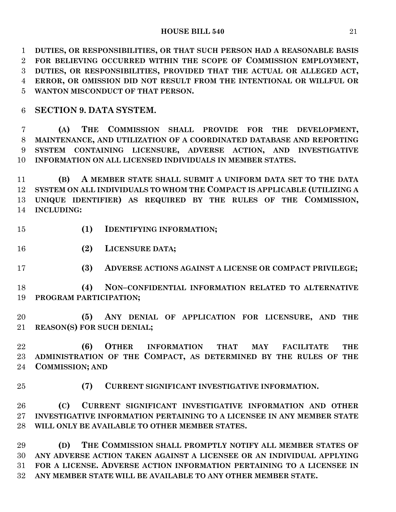**HOUSE BILL 540** 21

 **DUTIES, OR RESPONSIBILITIES, OR THAT SUCH PERSON HAD A REASONABLE BASIS FOR BELIEVING OCCURRED WITHIN THE SCOPE OF COMMISSION EMPLOYMENT, DUTIES, OR RESPONSIBILITIES, PROVIDED THAT THE ACTUAL OR ALLEGED ACT, ERROR, OR OMISSION DID NOT RESULT FROM THE INTENTIONAL OR WILLFUL OR WANTON MISCONDUCT OF THAT PERSON.**

## **SECTION 9. DATA SYSTEM.**

 **(A) THE COMMISSION SHALL PROVIDE FOR THE DEVELOPMENT, MAINTENANCE, AND UTILIZATION OF A COORDINATED DATABASE AND REPORTING SYSTEM CONTAINING LICENSURE, ADVERSE ACTION, AND INVESTIGATIVE INFORMATION ON ALL LICENSED INDIVIDUALS IN MEMBER STATES.**

 **(B) A MEMBER STATE SHALL SUBMIT A UNIFORM DATA SET TO THE DATA SYSTEM ON ALL INDIVIDUALS TO WHOM THE COMPACT IS APPLICABLE (UTILIZING A UNIQUE IDENTIFIER) AS REQUIRED BY THE RULES OF THE COMMISSION, INCLUDING:**

- **(1) IDENTIFYING INFORMATION;**
- **(2) LICENSURE DATA;**
- **(3) ADVERSE ACTIONS AGAINST A LICENSE OR COMPACT PRIVILEGE;**

 **(4) NON–CONFIDENTIAL INFORMATION RELATED TO ALTERNATIVE PROGRAM PARTICIPATION;**

 **(5) ANY DENIAL OF APPLICATION FOR LICENSURE, AND THE REASON(S) FOR SUCH DENIAL;**

 **(6) OTHER INFORMATION THAT MAY FACILITATE THE ADMINISTRATION OF THE COMPACT, AS DETERMINED BY THE RULES OF THE COMMISSION; AND**

**(7) CURRENT SIGNIFICANT INVESTIGATIVE INFORMATION.**

 **(C) CURRENT SIGNIFICANT INVESTIGATIVE INFORMATION AND OTHER INVESTIGATIVE INFORMATION PERTAINING TO A LICENSEE IN ANY MEMBER STATE WILL ONLY BE AVAILABLE TO OTHER MEMBER STATES.**

 **(D) THE COMMISSION SHALL PROMPTLY NOTIFY ALL MEMBER STATES OF ANY ADVERSE ACTION TAKEN AGAINST A LICENSEE OR AN INDIVIDUAL APPLYING FOR A LICENSE. ADVERSE ACTION INFORMATION PERTAINING TO A LICENSEE IN ANY MEMBER STATE WILL BE AVAILABLE TO ANY OTHER MEMBER STATE.**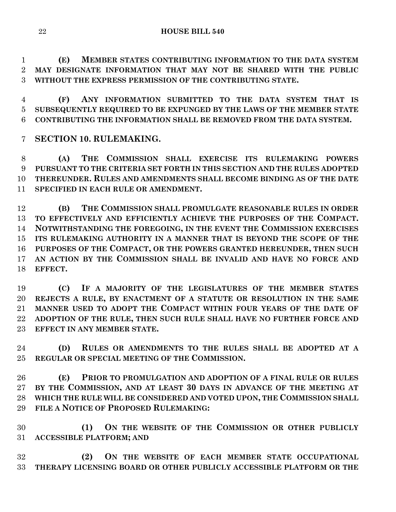**(E) MEMBER STATES CONTRIBUTING INFORMATION TO THE DATA SYSTEM MAY DESIGNATE INFORMATION THAT MAY NOT BE SHARED WITH THE PUBLIC WITHOUT THE EXPRESS PERMISSION OF THE CONTRIBUTING STATE.**

 **(F) ANY INFORMATION SUBMITTED TO THE DATA SYSTEM THAT IS SUBSEQUENTLY REQUIRED TO BE EXPUNGED BY THE LAWS OF THE MEMBER STATE CONTRIBUTING THE INFORMATION SHALL BE REMOVED FROM THE DATA SYSTEM.**

**SECTION 10. RULEMAKING.**

 **(A) THE COMMISSION SHALL EXERCISE ITS RULEMAKING POWERS PURSUANT TO THE CRITERIA SET FORTH IN THIS SECTION AND THE RULES ADOPTED THEREUNDER. RULES AND AMENDMENTS SHALL BECOME BINDING AS OF THE DATE SPECIFIED IN EACH RULE OR AMENDMENT.**

 **(B) THE COMMISSION SHALL PROMULGATE REASONABLE RULES IN ORDER TO EFFECTIVELY AND EFFICIENTLY ACHIEVE THE PURPOSES OF THE COMPACT. NOTWITHSTANDING THE FOREGOING, IN THE EVENT THE COMMISSION EXERCISES ITS RULEMAKING AUTHORITY IN A MANNER THAT IS BEYOND THE SCOPE OF THE PURPOSES OF THE COMPACT, OR THE POWERS GRANTED HEREUNDER, THEN SUCH AN ACTION BY THE COMMISSION SHALL BE INVALID AND HAVE NO FORCE AND EFFECT.**

 **(C) IF A MAJORITY OF THE LEGISLATURES OF THE MEMBER STATES REJECTS A RULE, BY ENACTMENT OF A STATUTE OR RESOLUTION IN THE SAME MANNER USED TO ADOPT THE COMPACT WITHIN FOUR YEARS OF THE DATE OF ADOPTION OF THE RULE, THEN SUCH RULE SHALL HAVE NO FURTHER FORCE AND EFFECT IN ANY MEMBER STATE.**

 **(D) RULES OR AMENDMENTS TO THE RULES SHALL BE ADOPTED AT A REGULAR OR SPECIAL MEETING OF THE COMMISSION.**

 **(E) PRIOR TO PROMULGATION AND ADOPTION OF A FINAL RULE OR RULES BY THE COMMISSION, AND AT LEAST 30 DAYS IN ADVANCE OF THE MEETING AT WHICH THE RULE WILL BE CONSIDERED AND VOTED UPON, THE COMMISSION SHALL FILE A NOTICE OF PROPOSED RULEMAKING:**

 **(1) ON THE WEBSITE OF THE COMMISSION OR OTHER PUBLICLY ACCESSIBLE PLATFORM; AND**

 **(2) ON THE WEBSITE OF EACH MEMBER STATE OCCUPATIONAL THERAPY LICENSING BOARD OR OTHER PUBLICLY ACCESSIBLE PLATFORM OR THE**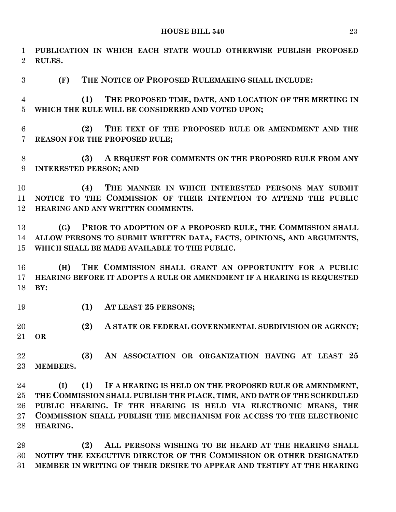| $\mathbf{1}$<br>$\overline{2}$ | PUBLICATION IN WHICH EACH STATE WOULD OTHERWISE PUBLISH PROPOSED<br>RULES. |
|--------------------------------|----------------------------------------------------------------------------|
| 3                              | THE NOTICE OF PROPOSED RULEMAKING SHALL INCLUDE:<br>(F)                    |
| 4                              | THE PROPOSED TIME, DATE, AND LOCATION OF THE MEETING IN<br>(1)             |
| $\overline{5}$                 | WHICH THE RULE WILL BE CONSIDERED AND VOTED UPON;                          |
| 6                              | (2)<br>THE TEXT OF THE PROPOSED RULE OR AMENDMENT AND THE                  |
| 7                              | REASON FOR THE PROPOSED RULE;                                              |
| 8                              | A REQUEST FOR COMMENTS ON THE PROPOSED RULE FROM ANY<br>(3)                |
| 9                              | <b>INTERESTED PERSON; AND</b>                                              |
| 10                             | THE MANNER IN WHICH INTERESTED PERSONS MAY SUBMIT<br>(4)                   |
| 11                             | NOTICE TO THE COMMISSION OF THEIR INTENTION TO ATTEND THE PUBLIC           |
| 12                             | HEARING AND ANY WRITTEN COMMENTS.                                          |
| 13                             | PRIOR TO ADOPTION OF A PROPOSED RULE, THE COMMISSION SHALL<br>(G)          |
| 14                             | ALLOW PERSONS TO SUBMIT WRITTEN DATA, FACTS, OPINIONS, AND ARGUMENTS,      |
| 15                             | WHICH SHALL BE MADE AVAILABLE TO THE PUBLIC.                               |
| 16                             | THE COMMISSION SHALL GRANT AN OPPORTUNITY FOR A PUBLIC<br>(H)              |
| 17                             | HEARING BEFORE IT ADOPTS A RULE OR AMENDMENT IF A HEARING IS REQUESTED     |
| 18                             | BY:                                                                        |
| 19                             | (1)<br>AT LEAST 25 PERSONS;                                                |
| 20                             | (2)<br>A STATE OR FEDERAL GOVERNMENTAL SUBDIVISION OR AGENCY;              |
|                                | 21 OR                                                                      |
| 22                             | (3)<br>AN ASSOCIATION OR ORGANIZATION HAVING AT LEAST 25                   |
| 23                             | MEMBERS.                                                                   |
| 24                             | (1)<br>IF A HEARING IS HELD ON THE PROPOSED RULE OR AMENDMENT,<br>(I)      |
| 25                             | THE COMMISSION SHALL PUBLISH THE PLACE, TIME, AND DATE OF THE SCHEDULED    |
| 26                             | PUBLIC HEARING. IF THE HEARING IS HELD VIA ELECTRONIC MEANS, THE           |
| $27\,$                         | <b>COMMISSION SHALL PUBLISH THE MECHANISM FOR ACCESS TO THE ELECTRONIC</b> |
| 28                             | HEARING.                                                                   |
| 29                             | ALL PERSONS WISHING TO BE HEARD AT THE HEARING SHALL<br>(2)                |
| 30                             | NOTIFY THE EXECUTIVE DIRECTOR OF THE COMMISSION OR OTHER DESIGNATED        |

**MEMBER IN WRITING OF THEIR DESIRE TO APPEAR AND TESTIFY AT THE HEARING**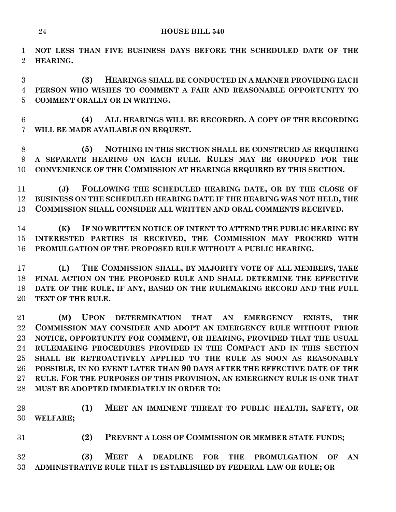**NOT LESS THAN FIVE BUSINESS DAYS BEFORE THE SCHEDULED DATE OF THE HEARING.**

 **(3) HEARINGS SHALL BE CONDUCTED IN A MANNER PROVIDING EACH PERSON WHO WISHES TO COMMENT A FAIR AND REASONABLE OPPORTUNITY TO COMMENT ORALLY OR IN WRITING.**

 **(4) ALL HEARINGS WILL BE RECORDED. A COPY OF THE RECORDING WILL BE MADE AVAILABLE ON REQUEST.**

 **(5) NOTHING IN THIS SECTION SHALL BE CONSTRUED AS REQUIRING A SEPARATE HEARING ON EACH RULE. RULES MAY BE GROUPED FOR THE CONVENIENCE OF THE COMMISSION AT HEARINGS REQUIRED BY THIS SECTION.**

 **(J) FOLLOWING THE SCHEDULED HEARING DATE, OR BY THE CLOSE OF BUSINESS ON THE SCHEDULED HEARING DATE IF THE HEARING WAS NOT HELD, THE COMMISSION SHALL CONSIDER ALL WRITTEN AND ORAL COMMENTS RECEIVED.**

 **(K) IF NO WRITTEN NOTICE OF INTENT TO ATTEND THE PUBLIC HEARING BY INTERESTED PARTIES IS RECEIVED, THE COMMISSION MAY PROCEED WITH PROMULGATION OF THE PROPOSED RULE WITHOUT A PUBLIC HEARING.**

 **(L) THE COMMISSION SHALL, BY MAJORITY VOTE OF ALL MEMBERS, TAKE FINAL ACTION ON THE PROPOSED RULE AND SHALL DETERMINE THE EFFECTIVE DATE OF THE RULE, IF ANY, BASED ON THE RULEMAKING RECORD AND THE FULL TEXT OF THE RULE.**

 **(M) UPON DETERMINATION THAT AN EMERGENCY EXISTS, THE COMMISSION MAY CONSIDER AND ADOPT AN EMERGENCY RULE WITHOUT PRIOR NOTICE, OPPORTUNITY FOR COMMENT, OR HEARING, PROVIDED THAT THE USUAL RULEMAKING PROCEDURES PROVIDED IN THE COMPACT AND IN THIS SECTION SHALL BE RETROACTIVELY APPLIED TO THE RULE AS SOON AS REASONABLY POSSIBLE, IN NO EVENT LATER THAN 90 DAYS AFTER THE EFFECTIVE DATE OF THE RULE. FOR THE PURPOSES OF THIS PROVISION, AN EMERGENCY RULE IS ONE THAT MUST BE ADOPTED IMMEDIATELY IN ORDER TO:**

 **(1) MEET AN IMMINENT THREAT TO PUBLIC HEALTH, SAFETY, OR WELFARE;**

**(2) PREVENT A LOSS OF COMMISSION OR MEMBER STATE FUNDS;**

 **(3) MEET A DEADLINE FOR THE PROMULGATION OF AN ADMINISTRATIVE RULE THAT IS ESTABLISHED BY FEDERAL LAW OR RULE; OR**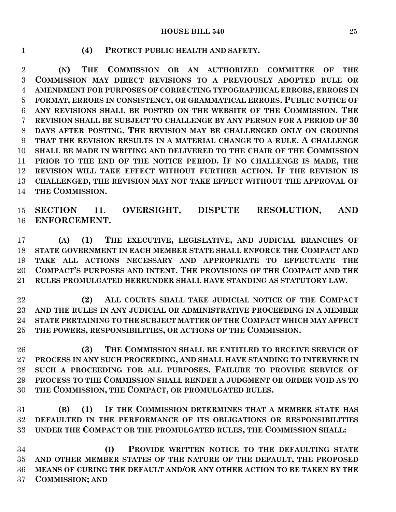#### **HOUSE BILL 540** 25

#### **(4) PROTECT PUBLIC HEALTH AND SAFETY.**

 **(N) THE COMMISSION OR AN AUTHORIZED COMMITTEE OF THE COMMISSION MAY DIRECT REVISIONS TO A PREVIOUSLY ADOPTED RULE OR AMENDMENT FOR PURPOSES OF CORRECTING TYPOGRAPHICAL ERRORS, ERRORS IN FORMAT, ERRORS IN CONSISTENCY, OR GRAMMATICAL ERRORS. PUBLIC NOTICE OF ANY REVISIONS SHALL BE POSTED ON THE WEBSITE OF THE COMMISSION. THE REVISION SHALL BE SUBJECT TO CHALLENGE BY ANY PERSON FOR A PERIOD OF 30 DAYS AFTER POSTING. THE REVISION MAY BE CHALLENGED ONLY ON GROUNDS THAT THE REVISION RESULTS IN A MATERIAL CHANGE TO A RULE. A CHALLENGE SHALL BE MADE IN WRITING AND DELIVERED TO THE CHAIR OF THE COMMISSION PRIOR TO THE END OF THE NOTICE PERIOD. IF NO CHALLENGE IS MADE, THE REVISION WILL TAKE EFFECT WITHOUT FURTHER ACTION. IF THE REVISION IS CHALLENGED, THE REVISION MAY NOT TAKE EFFECT WITHOUT THE APPROVAL OF THE COMMISSION.**

 **SECTION 11. OVERSIGHT, DISPUTE RESOLUTION, AND ENFORCEMENT.**

 **(A) (1) THE EXECUTIVE, LEGISLATIVE, AND JUDICIAL BRANCHES OF STATE GOVERNMENT IN EACH MEMBER STATE SHALL ENFORCE THE COMPACT AND TAKE ALL ACTIONS NECESSARY AND APPROPRIATE TO EFFECTUATE THE COMPACT'S PURPOSES AND INTENT. THE PROVISIONS OF THE COMPACT AND THE RULES PROMULGATED HEREUNDER SHALL HAVE STANDING AS STATUTORY LAW.**

 **(2) ALL COURTS SHALL TAKE JUDICIAL NOTICE OF THE COMPACT AND THE RULES IN ANY JUDICIAL OR ADMINISTRATIVE PROCEEDING IN A MEMBER STATE PERTAINING TO THE SUBJECT MATTER OF THE COMPACT WHICH MAY AFFECT THE POWERS, RESPONSIBILITIES, OR ACTIONS OF THE COMMISSION.**

 **(3) THE COMMISSION SHALL BE ENTITLED TO RECEIVE SERVICE OF PROCESS IN ANY SUCH PROCEEDING, AND SHALL HAVE STANDING TO INTERVENE IN SUCH A PROCEEDING FOR ALL PURPOSES. FAILURE TO PROVIDE SERVICE OF PROCESS TO THE COMMISSION SHALL RENDER A JUDGMENT OR ORDER VOID AS TO THE COMMISSION, THE COMPACT, OR PROMULGATED RULES.**

 **(B) (1) IF THE COMMISSION DETERMINES THAT A MEMBER STATE HAS DEFAULTED IN THE PERFORMANCE OF ITS OBLIGATIONS OR RESPONSIBILITIES UNDER THE COMPACT OR THE PROMULGATED RULES, THE COMMISSION SHALL:**

 **(I) PROVIDE WRITTEN NOTICE TO THE DEFAULTING STATE AND OTHER MEMBER STATES OF THE NATURE OF THE DEFAULT, THE PROPOSED MEANS OF CURING THE DEFAULT AND/OR ANY OTHER ACTION TO BE TAKEN BY THE COMMISSION; AND**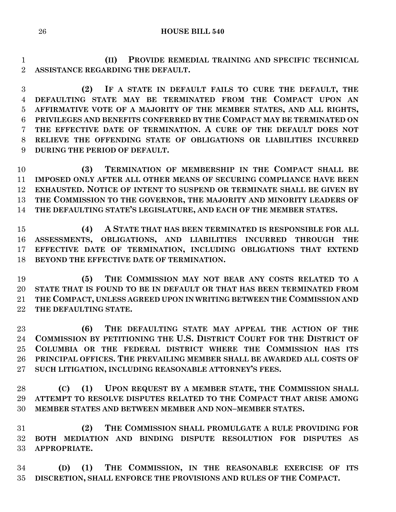**HOUSE BILL 540**

 **(II) PROVIDE REMEDIAL TRAINING AND SPECIFIC TECHNICAL ASSISTANCE REGARDING THE DEFAULT.**

 **(2) IF A STATE IN DEFAULT FAILS TO CURE THE DEFAULT, THE DEFAULTING STATE MAY BE TERMINATED FROM THE COMPACT UPON AN AFFIRMATIVE VOTE OF A MAJORITY OF THE MEMBER STATES, AND ALL RIGHTS, PRIVILEGES AND BENEFITS CONFERRED BY THE COMPACT MAY BE TERMINATED ON THE EFFECTIVE DATE OF TERMINATION. A CURE OF THE DEFAULT DOES NOT RELIEVE THE OFFENDING STATE OF OBLIGATIONS OR LIABILITIES INCURRED DURING THE PERIOD OF DEFAULT.**

 **(3) TERMINATION OF MEMBERSHIP IN THE COMPACT SHALL BE IMPOSED ONLY AFTER ALL OTHER MEANS OF SECURING COMPLIANCE HAVE BEEN EXHAUSTED. NOTICE OF INTENT TO SUSPEND OR TERMINATE SHALL BE GIVEN BY THE COMMISSION TO THE GOVERNOR, THE MAJORITY AND MINORITY LEADERS OF THE DEFAULTING STATE'S LEGISLATURE, AND EACH OF THE MEMBER STATES.**

 **(4) A STATE THAT HAS BEEN TERMINATED IS RESPONSIBLE FOR ALL ASSESSMENTS, OBLIGATIONS, AND LIABILITIES INCURRED THROUGH THE EFFECTIVE DATE OF TERMINATION, INCLUDING OBLIGATIONS THAT EXTEND BEYOND THE EFFECTIVE DATE OF TERMINATION.**

 **(5) THE COMMISSION MAY NOT BEAR ANY COSTS RELATED TO A STATE THAT IS FOUND TO BE IN DEFAULT OR THAT HAS BEEN TERMINATED FROM THE COMPACT, UNLESS AGREED UPON IN WRITING BETWEEN THE COMMISSION AND THE DEFAULTING STATE.**

 **(6) THE DEFAULTING STATE MAY APPEAL THE ACTION OF THE COMMISSION BY PETITIONING THE U.S. DISTRICT COURT FOR THE DISTRICT OF COLUMBIA OR THE FEDERAL DISTRICT WHERE THE COMMISSION HAS ITS PRINCIPAL OFFICES. THE PREVAILING MEMBER SHALL BE AWARDED ALL COSTS OF SUCH LITIGATION, INCLUDING REASONABLE ATTORNEY'S FEES.**

 **(C) (1) UPON REQUEST BY A MEMBER STATE, THE COMMISSION SHALL ATTEMPT TO RESOLVE DISPUTES RELATED TO THE COMPACT THAT ARISE AMONG MEMBER STATES AND BETWEEN MEMBER AND NON–MEMBER STATES.**

 **(2) THE COMMISSION SHALL PROMULGATE A RULE PROVIDING FOR BOTH MEDIATION AND BINDING DISPUTE RESOLUTION FOR DISPUTES AS APPROPRIATE.**

 **(D) (1) THE COMMISSION, IN THE REASONABLE EXERCISE OF ITS DISCRETION, SHALL ENFORCE THE PROVISIONS AND RULES OF THE COMPACT.**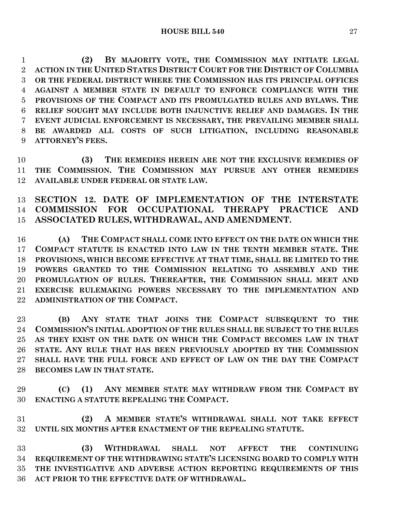**(2) BY MAJORITY VOTE, THE COMMISSION MAY INITIATE LEGAL ACTION IN THE UNITED STATES DISTRICT COURT FOR THE DISTRICT OF COLUMBIA OR THE FEDERAL DISTRICT WHERE THE COMMISSION HAS ITS PRINCIPAL OFFICES AGAINST A MEMBER STATE IN DEFAULT TO ENFORCE COMPLIANCE WITH THE PROVISIONS OF THE COMPACT AND ITS PROMULGATED RULES AND BYLAWS. THE RELIEF SOUGHT MAY INCLUDE BOTH INJUNCTIVE RELIEF AND DAMAGES. IN THE EVENT JUDICIAL ENFORCEMENT IS NECESSARY, THE PREVAILING MEMBER SHALL BE AWARDED ALL COSTS OF SUCH LITIGATION, INCLUDING REASONABLE ATTORNEY'S FEES.**

 **(3) THE REMEDIES HEREIN ARE NOT THE EXCLUSIVE REMEDIES OF THE COMMISSION. THE COMMISSION MAY PURSUE ANY OTHER REMEDIES AVAILABLE UNDER FEDERAL OR STATE LAW.**

 **SECTION 12. DATE OF IMPLEMENTATION OF THE INTERSTATE COMMISSION FOR OCCUPATIONAL THERAPY PRACTICE AND ASSOCIATED RULES, WITHDRAWAL, AND AMENDMENT.**

 **(A) THE COMPACT SHALL COME INTO EFFECT ON THE DATE ON WHICH THE COMPACT STATUTE IS ENACTED INTO LAW IN THE TENTH MEMBER STATE. THE PROVISIONS, WHICH BECOME EFFECTIVE AT THAT TIME, SHALL BE LIMITED TO THE POWERS GRANTED TO THE COMMISSION RELATING TO ASSEMBLY AND THE PROMULGATION OF RULES. THEREAFTER, THE COMMISSION SHALL MEET AND EXERCISE RULEMAKING POWERS NECESSARY TO THE IMPLEMENTATION AND ADMINISTRATION OF THE COMPACT.**

 **(B) ANY STATE THAT JOINS THE COMPACT SUBSEQUENT TO THE COMMISSION'S INITIAL ADOPTION OF THE RULES SHALL BE SUBJECT TO THE RULES AS THEY EXIST ON THE DATE ON WHICH THE COMPACT BECOMES LAW IN THAT STATE. ANY RULE THAT HAS BEEN PREVIOUSLY ADOPTED BY THE COMMISSION SHALL HAVE THE FULL FORCE AND EFFECT OF LAW ON THE DAY THE COMPACT BECOMES LAW IN THAT STATE.**

 **(C) (1) ANY MEMBER STATE MAY WITHDRAW FROM THE COMPACT BY ENACTING A STATUTE REPEALING THE COMPACT.**

 **(2) A MEMBER STATE'S WITHDRAWAL SHALL NOT TAKE EFFECT UNTIL SIX MONTHS AFTER ENACTMENT OF THE REPEALING STATUTE.**

 **(3) WITHDRAWAL SHALL NOT AFFECT THE CONTINUING REQUIREMENT OF THE WITHDRAWING STATE'S LICENSING BOARD TO COMPLY WITH THE INVESTIGATIVE AND ADVERSE ACTION REPORTING REQUIREMENTS OF THIS ACT PRIOR TO THE EFFECTIVE DATE OF WITHDRAWAL.**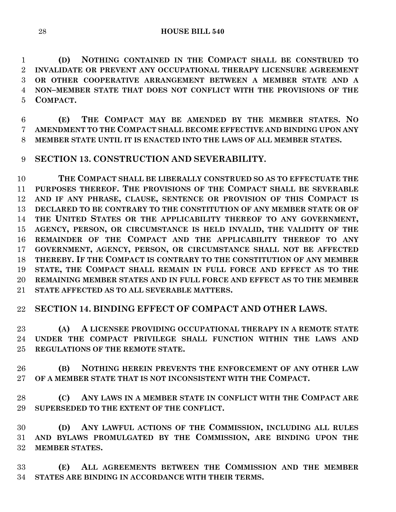**(D) NOTHING CONTAINED IN THE COMPACT SHALL BE CONSTRUED TO INVALIDATE OR PREVENT ANY OCCUPATIONAL THERAPY LICENSURE AGREEMENT OR OTHER COOPERATIVE ARRANGEMENT BETWEEN A MEMBER STATE AND A NON–MEMBER STATE THAT DOES NOT CONFLICT WITH THE PROVISIONS OF THE COMPACT.**

 **(E) THE COMPACT MAY BE AMENDED BY THE MEMBER STATES. NO AMENDMENT TO THE COMPACT SHALL BECOME EFFECTIVE AND BINDING UPON ANY MEMBER STATE UNTIL IT IS ENACTED INTO THE LAWS OF ALL MEMBER STATES.**

## **SECTION 13. CONSTRUCTION AND SEVERABILITY.**

 **THE COMPACT SHALL BE LIBERALLY CONSTRUED SO AS TO EFFECTUATE THE PURPOSES THEREOF. THE PROVISIONS OF THE COMPACT SHALL BE SEVERABLE AND IF ANY PHRASE, CLAUSE, SENTENCE OR PROVISION OF THIS COMPACT IS DECLARED TO BE CONTRARY TO THE CONSTITUTION OF ANY MEMBER STATE OR OF THE UNITED STATES OR THE APPLICABILITY THEREOF TO ANY GOVERNMENT, AGENCY, PERSON, OR CIRCUMSTANCE IS HELD INVALID, THE VALIDITY OF THE REMAINDER OF THE COMPACT AND THE APPLICABILITY THEREOF TO ANY GOVERNMENT, AGENCY, PERSON, OR CIRCUMSTANCE SHALL NOT BE AFFECTED THEREBY. IF THE COMPACT IS CONTRARY TO THE CONSTITUTION OF ANY MEMBER STATE, THE COMPACT SHALL REMAIN IN FULL FORCE AND EFFECT AS TO THE REMAINING MEMBER STATES AND IN FULL FORCE AND EFFECT AS TO THE MEMBER STATE AFFECTED AS TO ALL SEVERABLE MATTERS.**

## **SECTION 14. BINDING EFFECT OF COMPACT AND OTHER LAWS.**

 **(A) A LICENSEE PROVIDING OCCUPATIONAL THERAPY IN A REMOTE STATE UNDER THE COMPACT PRIVILEGE SHALL FUNCTION WITHIN THE LAWS AND REGULATIONS OF THE REMOTE STATE.**

 **(B) NOTHING HEREIN PREVENTS THE ENFORCEMENT OF ANY OTHER LAW OF A MEMBER STATE THAT IS NOT INCONSISTENT WITH THE COMPACT.**

 **(C) ANY LAWS IN A MEMBER STATE IN CONFLICT WITH THE COMPACT ARE SUPERSEDED TO THE EXTENT OF THE CONFLICT.**

 **(D) ANY LAWFUL ACTIONS OF THE COMMISSION, INCLUDING ALL RULES AND BYLAWS PROMULGATED BY THE COMMISSION, ARE BINDING UPON THE MEMBER STATES.**

 **(E) ALL AGREEMENTS BETWEEN THE COMMISSION AND THE MEMBER STATES ARE BINDING IN ACCORDANCE WITH THEIR TERMS.**